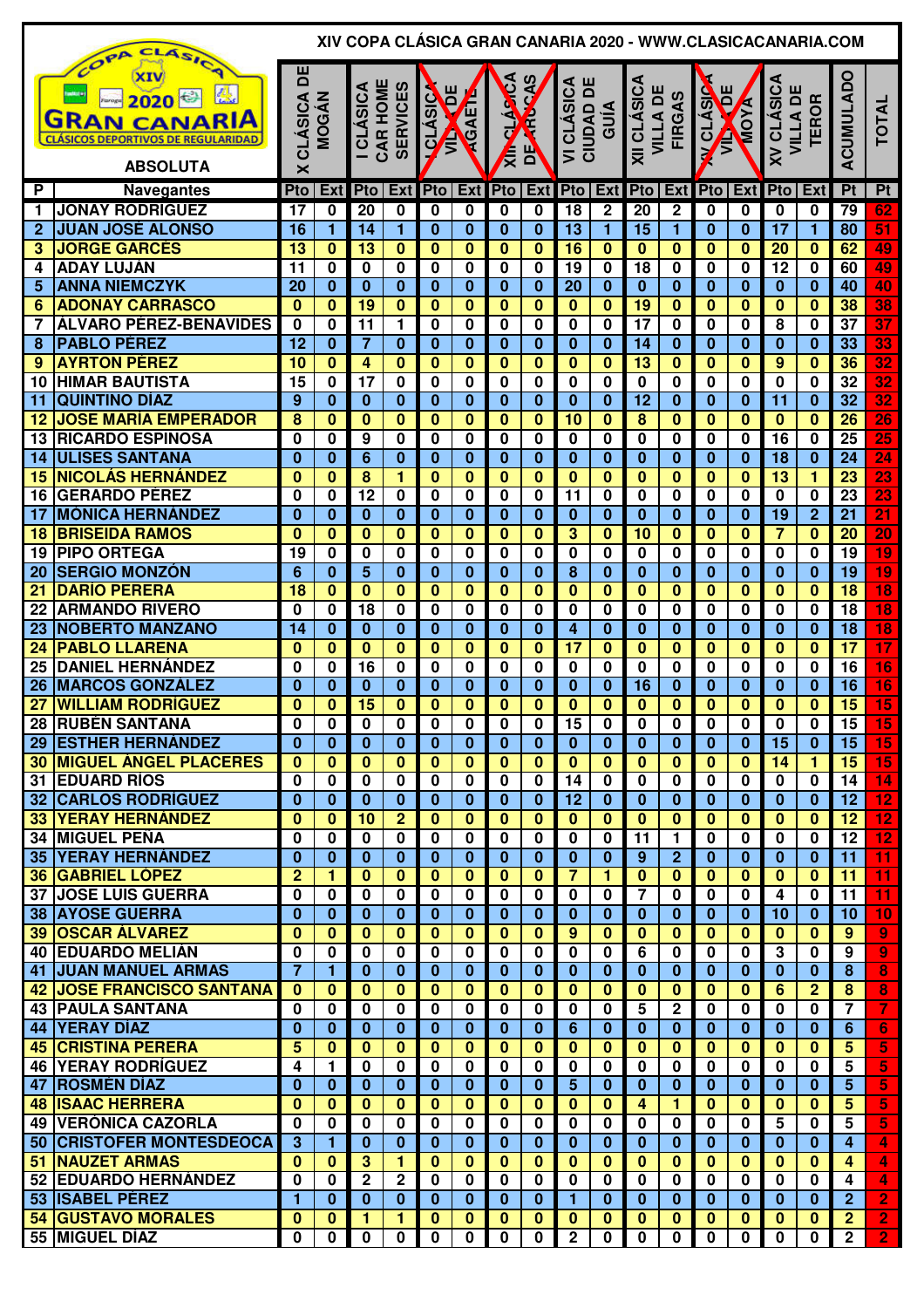|                 | CLASIC                                                                                              |                          |                                     |                              |                          |                              |                         |                         |                         |                                             |                                     |                                            |                             |                           |                         | XIV COPA CLÁSICA GRAN CANARIA 2020 - WWW.CLASICACANARIA.COM |                         |                                    |                     |
|-----------------|-----------------------------------------------------------------------------------------------------|--------------------------|-------------------------------------|------------------------------|--------------------------|------------------------------|-------------------------|-------------------------|-------------------------|---------------------------------------------|-------------------------------------|--------------------------------------------|-----------------------------|---------------------------|-------------------------|-------------------------------------------------------------|-------------------------|------------------------------------|---------------------|
|                 | COPA<br>2020<br><b>GRAN CANARIA</b><br><b>CLÁSICOS DEPORTIVOS DE REGULARIDAD</b><br><b>ABSOLUTA</b> | 비<br><b>CLÁSICA</b><br>× | <b>MOGÁN</b>                        | CAR HOME<br><b>I CLASICA</b> | <b>SERVICES</b>          | ш<br><b>QLÁSIC</b><br>ē<br>Ê | KGAEN                   | <b>ALLA</b><br>€        | <b>ACAS</b><br>É<br>ΡP  | CLÁSICA<br>ш<br>CIUDAD DI<br>$\overline{ }$ | GUÍA                                | XII CLÁSICA<br><b>VILLA DE</b>             | FIRGAS                      | <b>V CLÁSIC</b><br>Ē<br>Ê | MOVA                    | <b>XV CLÁSICA</b><br>VILLA DI                               | <b>TEROR</b>            | ACUMULADO                          | <b>TOTAL</b>        |
|                 |                                                                                                     |                          |                                     |                              |                          |                              |                         |                         |                         |                                             |                                     |                                            |                             |                           |                         |                                                             |                         |                                    |                     |
| P               | <b>Navegantes</b>                                                                                   | Pto                      | Ext                                 | Pto                          | <b>Ext</b>               | Pto                          | <b>Ext</b>              | Pto                     | Ext                     | Pto                                         | <b>Ext</b>                          | Pto                                        | <b>Ext</b>                  |                           | $Pto$ Ext               | Pto                                                         | Ext                     | Pt                                 | Pt                  |
| 1               | <b>JONAY RODRÍGUEZ</b>                                                                              | 17                       | 0                                   | 20                           | 0                        | $\mathbf 0$                  | 0                       | 0                       | 0                       | $\overline{18}$                             | $\mathbf 2$                         | 20                                         | $\overline{\mathbf{c}}$     | 0                         | $\mathbf 0$             | 0                                                           | $\mathbf 0$             | 79                                 | 62                  |
| $\overline{2}$  | <b>JUAN JOSÉ ALONSO</b>                                                                             | 16                       | 1                                   | 14                           | 1                        | $\mathbf{0}$                 | $\bf{0}$                | $\bf{0}$                | $\bf{0}$                | 13                                          | $\overline{1}$                      | 15                                         | 1                           | $\bf{0}$                  | $\bf{0}$                | 17                                                          | $\mathbf{1}$            | 80                                 | 51                  |
| 3               | <b>JORGE GARCES</b>                                                                                 | $\overline{13}$          | $\bf{0}$                            | $\overline{13}$              | $\mathbf{0}$             | $\bf{0}$                     | $\bf{0}$                | $\bf{0}$                | $\overline{\mathbf{0}}$ | $\overline{16}$                             | $\overline{\mathbf{0}}$             | $\overline{\mathbf{0}}$                    | $\bf{0}$                    | $\bf{0}$                  | $\overline{\mathbf{0}}$ | $\overline{20}$                                             | $\bf{0}$                | 62                                 | 49                  |
| 4               | <b>ADAY LUJÁN</b>                                                                                   | $\overline{11}$          | $\overline{\mathbf{0}}$             | $\bf{0}$                     | 0                        | 0                            | $\bf{0}$                | 0                       | 0                       | $\overline{19}$                             | $\overline{\mathbf{0}}$             | $\overline{18}$                            | 0                           | 0                         | $\bf{0}$                | $\overline{12}$                                             | $\bf{0}$                | 60                                 | 49                  |
| 5               | <b>ANNA NIEMCZYK</b>                                                                                | 20                       | $\bf{0}$                            | $\bf{0}$                     | $\bf{0}$                 | $\bf{0}$                     | $\bf{0}$                | $\bf{0}$                | $\bf{0}$                | 20                                          | $\overline{\mathbf{0}}$             | $\bf{0}$                                   | $\mathbf{0}$                | $\bf{0}$                  | $\bf{0}$                | $\bf{0}$                                                    | $\bf{0}$                | 40                                 | 40                  |
| 6               | <b>ADONAY CARRASCO</b>                                                                              | $\bf{0}$                 | $\bf{0}$                            | 19                           | $\bf{0}$                 | $\bf{0}$                     | $\bf{0}$                | $\bf{0}$                | $\overline{\mathbf{0}}$ | $\bf{0}$                                    | $\overline{\mathbf{0}}$             | 19                                         | $\bf{0}$                    | $\bf{0}$                  | $\overline{\mathbf{0}}$ | $\bf{0}$                                                    | $\bf{0}$                | 38                                 | $\overline{38}$     |
| 7               | <b>ÁLVARO PÉREZ-BENAVIDES</b>                                                                       | $\bf{0}$                 | $\bf{0}$                            | $\overline{11}$              | 1                        | $\bf{0}$                     | $\bf{0}$                | 0                       | $\bf{0}$                | 0                                           | $\overline{\mathbf{0}}$             | $\overline{17}$                            | 0                           | 0                         | $\bf{0}$                | 8                                                           | $\bf{0}$                | $\overline{37}$                    | $\overline{37}$     |
| 8               | <b>PABLO PÉREZ</b>                                                                                  | 12                       | $\bf{0}$                            | $\overline{7}$               | $\bf{0}$                 | $\bf{0}$                     | $\bf{0}$                | $\bf{0}$                | $\bf{0}$                | $\bf{0}$                                    | $\bf{0}$                            | 14                                         | $\bf{0}$                    | $\bf{0}$                  | $\bf{0}$                | $\bf{0}$                                                    | $\bf{0}$                | 33                                 | 33                  |
| 9               | <b>AYRTON PÉREZ</b>                                                                                 | 10                       | $\overline{\mathbf{0}}$             | 4                            | $\mathbf{0}$             | $\mathbf{0}$                 | $\bf{0}$                | $\bf{0}$                | $\overline{\mathbf{0}}$ | $\bf{0}$                                    | $\overline{\mathbf{0}}$             | $\overline{13}$                            | $\overline{\mathbf{0}}$     | $\mathbf{0}$              | $\bf{0}$                | $\overline{9}$                                              | $\bf{0}$                | 36                                 | $\overline{32}$     |
| 10              | <b>HIMAR BAUTISTA</b>                                                                               | 15                       | $\bf{0}$                            | $\overline{17}$              | 0                        | 0                            | 0                       | 0                       | 0                       | 0                                           | $\overline{\mathbf{0}}$             | $\overline{\mathbf{0}}$<br>$\overline{12}$ | 0                           | 0                         | $\mathbf 0$             | 0                                                           | 0                       | 32                                 | $\overline{32}$     |
| 11              | <b>QUINTINO DÍAZ</b>                                                                                | 9                        | $\overline{\mathbf{0}}$             | $\bf{0}$                     | $\bf{0}$                 | $\mathbf{0}$                 | $\bf{0}$                | $\bf{0}$                | $\overline{\mathbf{0}}$ | $\overline{\mathbf{0}}$                     | $\overline{\mathbf{0}}$             |                                            | $\overline{\mathbf{0}}$     | $\bf{0}$                  | $\overline{\mathbf{0}}$ | $\overline{11}$                                             | $\bf{0}$                | $\overline{32}$                    | $\overline{32}$     |
| 12              | <b>JOSE MARÍA EMPERADOR</b>                                                                         | 8                        | $\bf{0}$                            | $\bf{0}$                     | $\bf{0}$                 | $\bf{0}$                     | $\mathbf 0$             | $\bf{0}$                | $\bf{0}$                | $\overline{10}$                             | $\bf{0}$                            | $\overline{\mathbf{8}}$                    | $\mathbf{0}$                | 0                         | $\mathbf{0}$            | $\mathbf{0}$                                                | $\bf{0}$                | 26                                 | 26                  |
| 13              | <b>RICARDO ESPINOSA</b>                                                                             | $\bf{0}$                 | $\mathbf 0$                         | 9                            | 0                        | $\mathbf 0$                  | 0                       | 0                       | 0                       | 0                                           | 0                                   | $\overline{\mathbf{0}}$                    | 0                           | 0                         | $\mathbf 0$             | 16                                                          | 0                       | $\overline{25}$<br>$\overline{24}$ | 25                  |
| 14              | <b>ULISES SANTANA</b><br><b>NICOLÁS HERNÁNDEZ</b>                                                   | $\bf{0}$<br>$\bf{0}$     | $\bf{0}$<br>$\overline{\mathbf{0}}$ | 6                            | 0                        | $\mathbf{0}$<br>$\mathbf{0}$ | $\bf{0}$                | $\bf{0}$                | $\bf{0}$                | $\bf{0}$                                    | $\bf{0}$<br>$\overline{\mathbf{0}}$ | $\bf{0}$                                   | $\mathbf{0}$                | $\bf{0}$                  | $\bf{0}$<br>$\bf{0}$    | $\overline{18}$<br>$\overline{13}$                          | $\bf{0}$<br>1           | $\overline{23}$                    | 24<br>23            |
| 15              | <b>GERARDO PÉREZ</b>                                                                                | $\bf{0}$                 | $\bf{0}$                            | 8<br>12                      | 1<br>0                   |                              | $\bf{0}$<br>$\bf{0}$    | $\bf{0}$<br>0           | $\bf{0}$                | $\bf{0}$<br>11                              | $\mathbf 0$                         | $\bf{0}$<br>0                              | $\bf{0}$                    | $\bf{0}$<br>0             |                         | 0                                                           | 0                       | 23                                 | 23                  |
| 16<br>17        | <b>MÓNICA HERNÁNDEZ</b>                                                                             | $\bf{0}$                 | $\bf{0}$                            | $\bf{0}$                     | 0                        | 0<br>$\bf{0}$                | $\bf{0}$                | $\bf{0}$                | 0<br>$\mathbf 0$        | $\bf{0}$                                    | $\bf{0}$                            | $\bf{0}$                                   | 0<br>0                      | $\bf{0}$                  | 0<br>$\bf{0}$           | $\overline{19}$                                             | $\overline{2}$          | $\overline{21}$                    | $\overline{21}$     |
| 18              | <b>BRISEIDA RAMOS</b>                                                                               | $\bf{0}$                 | $\bf{0}$                            | $\bf{0}$                     | 0                        | $\bf{0}$                     | $\bf{0}$                | $\bf{0}$                | $\bf{0}$                | 3                                           | $\bf{0}$                            | 10                                         | 0                           | $\bf{0}$                  | $\bf{0}$                | $\overline{7}$                                              | $\bf{0}$                | $\overline{20}$                    | $\overline{20}$     |
| 19              | <b>PIPO ORTEGA</b>                                                                                  | 19                       | 0                                   | 0                            | 0                        | 0                            | 0                       | 0                       | 0                       | 0                                           | 0                                   | 0                                          | 0                           | 0                         | 0                       | 0                                                           | 0                       | 19                                 | $\overline{19}$     |
| 20              | <b>SERGIO MONZÓN</b>                                                                                | 6                        | $\bf{0}$                            | 5                            | 0                        | $\bf{0}$                     | $\bf{0}$                | $\bf{0}$                | $\bf{0}$                | 8                                           | $\bf{0}$                            | $\bf{0}$                                   | $\bf{0}$                    | $\bf{0}$                  | $\bf{0}$                | $\bf{0}$                                                    | $\bf{0}$                | $\overline{19}$                    | $\overline{19}$     |
| $\overline{21}$ | <b>DARÍO PERERA</b>                                                                                 | $\overline{18}$          | $\bf{0}$                            | $\bf{0}$                     | $\mathbf{0}$             | $\bf{0}$                     | $\bf{0}$                | $\bf{0}$                | $\bf{0}$                | $\bf{0}$                                    | $\bf{0}$                            | $\bf{0}$                                   | 0                           | $\bf{0}$                  | $\bf{0}$                | $\bf{0}$                                                    | $\bf{0}$                | $\overline{18}$                    | $\overline{18}$     |
| 22              | <b>ARMANDO RIVERO</b>                                                                               | $\bf{0}$                 | 0                                   | 18                           | 0                        | $\mathbf 0$                  | 0                       | 0                       | 0                       | 0                                           | $\mathbf 0$                         | 0                                          | 0                           | 0                         | $\mathbf 0$             | 0                                                           | 0                       | 18                                 | $\overline{18}$     |
| 23              | <b>NOBERTO MANZANO</b>                                                                              | 14                       | $\bf{0}$                            | $\bf{0}$                     | $\bf{0}$                 | $\mathbf{0}$                 | $\bf{0}$                | $\bf{0}$                | $\bf{0}$                | 4                                           | $\bf{0}$                            | $\bf{0}$                                   | 0                           | $\bf{0}$                  | $\bf{0}$                | $\bf{0}$                                                    | $\bf{0}$                | $\overline{18}$                    | $\overline{18}$     |
| 24              | <b>PABLO LLARENA</b>                                                                                | $\bf{0}$                 | $\bf{0}$                            | $\bf{0}$                     | $\bf{0}$                 | $\bf{0}$                     | $\mathbf 0$             | $\bf{0}$                | $\bf{0}$                | $\overline{17}$                             | $\bf{0}$                            | $\mathbf{0}$                               | 0                           | $\bf{0}$                  | $\mathbf{0}$            | $\mathbf{0}$                                                | $\bf{0}$                | $\overline{17}$                    | 17                  |
| 25              | <b>DANIEL HERNÁNDEZ</b>                                                                             | $\bf{0}$                 | 0                                   | 16                           | 0                        | $\mathbf 0$                  | 0                       | 0                       | 0                       | 0                                           | 0                                   | 0                                          | 0                           | 0                         | $\mathbf 0$             | 0                                                           | 0                       | 16                                 | $\overline{16}$     |
| 26              | <b>MARCOS GONZÁLEZ</b>                                                                              | $\bf{0}$                 | $\bf{0}$                            | $\bf{0}$                     | $\bf{0}$                 | $\mathbf{0}$                 | $\bf{0}$                | $\bf{0}$                | $\bf{0}$                | $\bf{0}$                                    | $\overline{\mathbf{0}}$             | 16                                         | 0                           | $\bf{0}$                  | $\mathbf{0}$            | $\bf{0}$                                                    | $\bf{0}$                | $\overline{16}$                    | $\overline{\bf 16}$ |
| $\overline{27}$ | <b>WILLIAM RODRÍGUEZ</b>                                                                            | $\bf{0}$                 | $\overline{\mathbf{0}}$             | $\overline{15}$              | $\bf{0}$                 | $\bf{0}$                     | $\bf{0}$                | $\bf{0}$                | $\overline{\mathbf{0}}$ | $\mathbf{0}$                                | $\overline{\mathbf{0}}$             | $\mathbf{0}$                               | $\mathbf{0}$                | $\bf{0}$                  | $\bf{0}$                | $\bf{0}$                                                    | $\bf{0}$                | 15                                 | 15                  |
|                 | 28 RUBÉN SANTANA                                                                                    | $\overline{\mathbf{0}}$  | $\overline{\mathbf{0}}$             | $\overline{\mathbf{0}}$      | $\overline{\mathbf{0}}$  | $\overline{\mathbf{0}}$      | $\overline{\mathbf{0}}$ | $\overline{\mathbf{0}}$ | $\overline{\mathbf{0}}$ | 15                                          | $\overline{\mathbf{0}}$             | $\overline{\mathbf{0}}$                    | $\overline{\mathbf{0}}$     | $\overline{\mathbf{0}}$   | $\overline{\mathbf{0}}$ | $\overline{\mathbf{0}}$                                     | $\overline{\mathbf{0}}$ | 15                                 | $\overline{15}$     |
|                 | <b>29 ESTHER HERNÁNDEZ</b>                                                                          | $\bf{0}$                 | $\bf{0}$                            | $\bf{0}$                     | $\bf{0}$                 | $\bf{0}$                     | $\bf{0}$                | $\bf{0}$                | $\bf{0}$                | $\mathbf{0}$                                | $\overline{\mathbf{0}}$             | $\bf{0}$                                   | $\mathbf{0}$                | $\bf{0}$                  | $\mathbf{0}$            | $\overline{15}$                                             | $\bf{0}$                | $\overline{15}$                    | 15 <sub>1</sub>     |
|                 | <b>30 MIGUEL ÁNGEL PLACERES</b>                                                                     | 0                        | $\bf{0}$                            | $\bf{0}$                     | $\bf{0}$                 | $\bf{0}$                     | $\bf{0}$                | $\bf{0}$                | $\bf{0}$                | $\bf{0}$                                    | $\bf{0}$                            | $\bf{0}$                                   | $\mathbf{0}$                | $\bf{0}$                  | $\bf{0}$                | 14                                                          | 1                       | 15                                 | 15                  |
|                 | <b>31 EDUARD RÍOS</b>                                                                               | $\bf{0}$                 | 0                                   | $\bf{0}$                     | 0                        | $\mathbf 0$                  | 0                       | $\mathbf 0$             | $\bf{0}$                | 14                                          | $\mathbf 0$                         | $\mathbf 0$                                | $\mathbf 0$                 | $\mathbf 0$               | $\mathbf 0$             | $\mathbf 0$                                                 | $\bf{0}$                | 14                                 | 14                  |
|                 | <b>32 CARLOS RODRÍGUEZ</b>                                                                          | $\bf{0}$                 | $\bf{0}$                            | $\bf{0}$                     | $\bf{0}$                 | $\bf{0}$                     | $\bf{0}$                | $\bf{0}$                | $\bf{0}$                | 12                                          | $\bf{0}$                            | $\bf{0}$                                   | $\bf{0}$                    | $\bf{0}$                  | $\mathbf{0}$            | $\bf{0}$                                                    | $\bf{0}$                | 12                                 | $\overline{12}$     |
|                 | <b>33 YERAY HERNÁNDEZ</b>                                                                           | $\bf{0}$                 | $\bf{0}$                            | 10                           | $\overline{2}$           | $\bf{0}$                     | $\bf{0}$                | $\mathbf{0}$            | $\bf{0}$                | $\mathbf{0}$                                | $\bf{0}$                            | $\mathbf{0}$                               | $\mathbf{0}$                | $\mathbf{0}$              | $\mathbf{0}$            | $\bf{0}$                                                    | $\bf{0}$                | $\overline{12}$                    | $\overline{12}$     |
|                 | <b>34 MIGUEL PEÑA</b>                                                                               | $\bf{0}$                 | 0                                   | $\mathbf 0$                  | $\overline{\mathbf{0}}$  | $\mathbf 0$                  | $\mathbf 0$             | $\mathbf 0$             | 0                       | $\bf{0}$                                    | $\mathbf 0$                         | $\overline{11}$                            | 1                           | 0                         | $\mathbf 0$             | $\mathbf 0$                                                 | $\bf{0}$                | $\overline{12}$                    | $\overline{12}$     |
|                 | <b>35 YERAY HERNÁNDEZ</b>                                                                           | $\bf{0}$                 | $\bf{0}$                            | $\bf{0}$                     | $\bf{0}$                 | $\bf{0}$                     | $\bf{0}$                | $\bf{0}$                | $\bf{0}$                | $\mathbf{0}$                                | $\mathbf{0}$                        | 9                                          | $\overline{2}$              | $\mathbf{0}$              | $\mathbf{0}$            | $\bf{0}$                                                    | $\bf{0}$                | $\overline{11}$                    | 11                  |
|                 | <b>36 GABRIEL LÓPEZ</b>                                                                             | $\overline{2}$           | 1                                   | $\bf{0}$                     | $\bf{0}$                 | $\bf{0}$                     | $\bf{0}$                | $\mathbf{0}$            | $\bf{0}$                | $\overline{7}$                              | $\mathbf{1}$                        | $\mathbf{0}$                               | $\mathbf{0}$                | $\mathbf{0}$              | $\mathbf{0}$            | $\mathbf{0}$                                                | $\bf{0}$                | 11                                 | 11                  |
|                 | <b>37 JOSE LUIS GUERRA</b>                                                                          | $\bf{0}$                 | $\mathbf 0$                         | $\mathbf 0$                  | $\mathbf 0$              | $\bf{0}$                     | $\mathbf 0$             | $\bf{0}$                | 0                       | $\mathbf 0$                                 | $\mathbf 0$                         | $\overline{7}$                             | 0                           | $\mathbf{0}$              | $\mathbf{0}$            | 4                                                           | $\bf{0}$                | $\overline{11}$                    | 11                  |
| 38              | <b>AYOSE GUERRA</b>                                                                                 | $\mathbf{0}$             | $\bf{0}$                            | $\bf{0}$                     | $\bf{0}$                 | $\bf{0}$                     | $\bf{0}$                | $\bf{0}$                | $\bf{0}$                | $\mathbf{0}$                                | $\mathbf{0}$                        | $\bf{0}$                                   | $\mathbf{0}$                | $\mathbf{0}$              | $\bf{0}$                | 10                                                          | $\bf{0}$                | 10                                 | 10                  |
| 39              | <b>OSCAR ÁLVAREZ</b>                                                                                | $\bf{0}$                 | $\bf{0}$                            | $\bf{0}$                     | 0                        | $\mathbf{0}$                 | $\mathbf 0$             | $\bf{0}$                | $\bf{0}$                | 9                                           | $\bf{0}$                            | $\mathbf{0}$                               | $\bf{0}$                    | 0                         | $\bf{0}$                | $\bf{0}$                                                    | $\bf{0}$                | 9                                  | $\overline{9}$      |
| 40              | <b>EDUARDO MELIÁN</b>                                                                               | $\bf{0}$                 | 0                                   | 0                            | 0                        | $\bf{0}$                     | 0                       | $\bf{0}$                | 0                       | $\mathbf 0$                                 | 0                                   | 6                                          | 0                           | 0                         | $\bf{0}$                | 3                                                           | 0                       | 9                                  | $\overline{9}$      |
| 41              | <b>JUAN MANUEL ARMAS</b>                                                                            | $\overline{7}$           | 1                                   | $\bf{0}$                     | 0                        | $\bf{0}$                     | $\bf{0}$                | $\bf{0}$                | 0                       | $\bf{0}$                                    | $\bf{0}$                            | $\bf{0}$                                   | 0                           | 0                         | $\bf{0}$                | $\bf{0}$                                                    | $\bf{0}$                | 8                                  | 8                   |
| 42              | <b>JOSE FRANCISCO SANTANA</b>                                                                       | $\bf{0}$                 | $\bf{0}$                            | 0                            | 0                        | $\bf{0}$                     | $\bf{0}$                | $\bf{0}$                | 0                       | $\bf{0}$                                    | $\bf{0}$                            | $\bf{0}$                                   | 0                           | 0                         | 0                       | 6                                                           | $\overline{2}$          | 8                                  | 8                   |
| 43              | <b>PAULA SANTANA</b>                                                                                | $\bf{0}$                 | 0                                   | 0                            | 0                        | $\bf{0}$                     | 0                       | 0                       | 0                       | 0                                           | 0                                   | 5                                          | 2                           | 0                         | 0                       | 0                                                           | 0                       | $\overline{7}$                     | $\overline{7}$      |
| 44              | <b>YERAY DÍAZ</b>                                                                                   | $\bf{0}$                 | $\bf{0}$                            | $\bf{0}$                     | 0                        | $\bf{0}$                     | $\bf{0}$                | $\bf{0}$                | 0                       | 6                                           | $\bf{0}$                            | $\bf{0}$                                   | $\mathbf{0}$                | 0                         | $\bf{0}$                | $\bf{0}$                                                    | 0                       | 6                                  | 6                   |
|                 | <b>45 CRISTINA PERERA</b>                                                                           | 5                        | $\bf{0}$                            | $\bf{0}$                     | 0                        | $\bf{0}$                     | $\bf{0}$                | $\bf{0}$                | $\bf{0}$                | $\bf{0}$                                    | $\bf{0}$                            | $\bf{0}$                                   | $\mathbf{0}$                | 0                         | $\mathbf{0}$            | $\bf{0}$                                                    | $\bf{0}$                | 5                                  | 5                   |
|                 | <b>46 YERAY RODRÍGUEZ</b>                                                                           | 4                        | 1                                   | $\bf{0}$                     | 0                        | $\mathbf 0$                  | $\mathbf 0$             | $\bf{0}$                | 0                       | 0                                           | $\mathbf 0$                         | $\mathbf 0$                                | $\mathbf 0$                 | 0                         | $\mathbf{0}$            | $\mathbf 0$                                                 | 0                       | 5                                  | 5                   |
| 47              | <b>ROSMÉN DÍAZ</b>                                                                                  | $\bf{0}$                 | $\bf{0}$                            | $\bf{0}$                     | $\bf{0}$                 | $\bf{0}$                     | $\bf{0}$                | $\bf{0}$                | $\bf{0}$                | 5                                           | $\bf{0}$                            | $\bf{0}$                                   | $\mathbf{0}$                | $\bf{0}$                  | $\bf{0}$                | $\bf{0}$                                                    | $\bf{0}$                | $5\phantom{.0}$                    | 5                   |
|                 | <b>48 ISAAC HERRERA</b>                                                                             | $\bf{0}$                 | $\bf{0}$                            | $\bf{0}$                     | 0                        | $\mathbf 0$                  | $\bf{0}$                | $\mathbf{0}$            | $\bf{0}$                | $\bf{0}$                                    | $\bf{0}$                            | $\overline{\mathbf{4}}$                    | 1.                          | $\mathbf{0}$              | $\mathbf{0}$            | $\bf{0}$                                                    | $\bf{0}$                | 5                                  | 5                   |
|                 | <b>49 VERÓNICA CAZORLA</b>                                                                          | $\bf{0}$                 | $\mathbf 0$                         | $\mathbf 0$                  | $\mathbf 0$              | $\mathbf 0$                  | 0                       | $\bf{0}$                | 0                       | $\mathbf 0$                                 | $\mathbf 0$                         | $\mathbf 0$                                | 0                           | $\mathbf 0$               | $\mathbf 0$             | 5                                                           | $\bf{0}$                | 5                                  | 5                   |
|                 | 50 CRISTOFER MONTESDEOCA                                                                            | $\mathbf{3}$             | 1                                   | $\bf{0}$                     | $\bf{0}$                 | $\bf{0}$                     | $\bf{0}$                | $\bf{0}$                | $\bf{0}$                | $\bf{0}$                                    | $\bf{0}$                            | $\bf{0}$                                   | $\mathbf{0}$                | $\bf{0}$                  | $\bf{0}$                | $\bf{0}$                                                    | $\bf{0}$                | 4                                  | $\overline{4}$      |
|                 | <b>51 NAUZET ARMAS</b>                                                                              | $\mathbf{0}$             | $\bf{0}$                            | 3                            | 1                        | $\mathbf{0}$                 | $\bf{0}$                | $\mathbf{0}$            | $\bf{0}$                | $\bf{0}$                                    | $\bf{0}$                            | $\mathbf{0}$                               | $\mathbf{0}$                | $\mathbf{0}$              | $\bf{0}$                | $\bf{0}$                                                    | $\bf{0}$                | 4                                  | $\overline{a}$      |
|                 | 52 EDUARDO HERNÁNDEZ<br>53 ISABEL PÉREZ                                                             | $\bf{0}$<br>1            | $\mathbf 0$<br>$\bf{0}$             | $\mathbf 2$                  | $\mathbf{2}$<br>$\bf{0}$ | $\mathbf 0$<br>$\bf{0}$      | $\mathbf 0$             | $\bf{0}$<br>$\bf{0}$    | 0                       | $\mathbf 0$<br>1.                           | $\mathbf 0$<br>$\bf{0}$             | $\mathbf 0$<br>$\bf{0}$                    | $\mathbf 0$<br>$\mathbf{0}$ | $\mathbf 0$<br>$\bf{0}$   | $\mathbf 0$<br>$\bf{0}$ | $\mathbf 0$<br>$\bf{0}$                                     | $\mathbf 0$<br>$\bf{0}$ | 4<br>$\overline{2}$                | 4<br>$\overline{2}$ |
|                 | <b>54 GUSTAVO MORALES</b>                                                                           | $\bf{0}$                 | $\bf{0}$                            | $\bf{0}$<br>1                | 1                        | $\bf{0}$                     | $\bf{0}$<br>$\bf{0}$    | $\bf{0}$                | $\bf{0}$<br>0           | $\bf{0}$                                    | $\bf{0}$                            | $\bf{0}$                                   | $\bf{0}$                    | $\bf{0}$                  | $\bf{0}$                | $\bf{0}$                                                    | $\bf{0}$                | $\overline{2}$                     | $\overline{2}$      |
|                 | 55 MIGUEL DÍAZ                                                                                      | $\mathbf 0$              | $\mathbf 0$                         | $\mathbf 0$                  | 0                        | $\mathbf 0$                  | 0                       | 0                       | 0                       | $\overline{2}$                              | 0                                   | $\mathbf 0$                                | $\pmb{0}$                   | 0                         | $\mathbf 0$             | 0                                                           | 0                       | $\overline{2}$                     | $\overline{2}$      |
|                 |                                                                                                     |                          |                                     |                              |                          |                              |                         |                         |                         |                                             |                                     |                                            |                             |                           |                         |                                                             |                         |                                    |                     |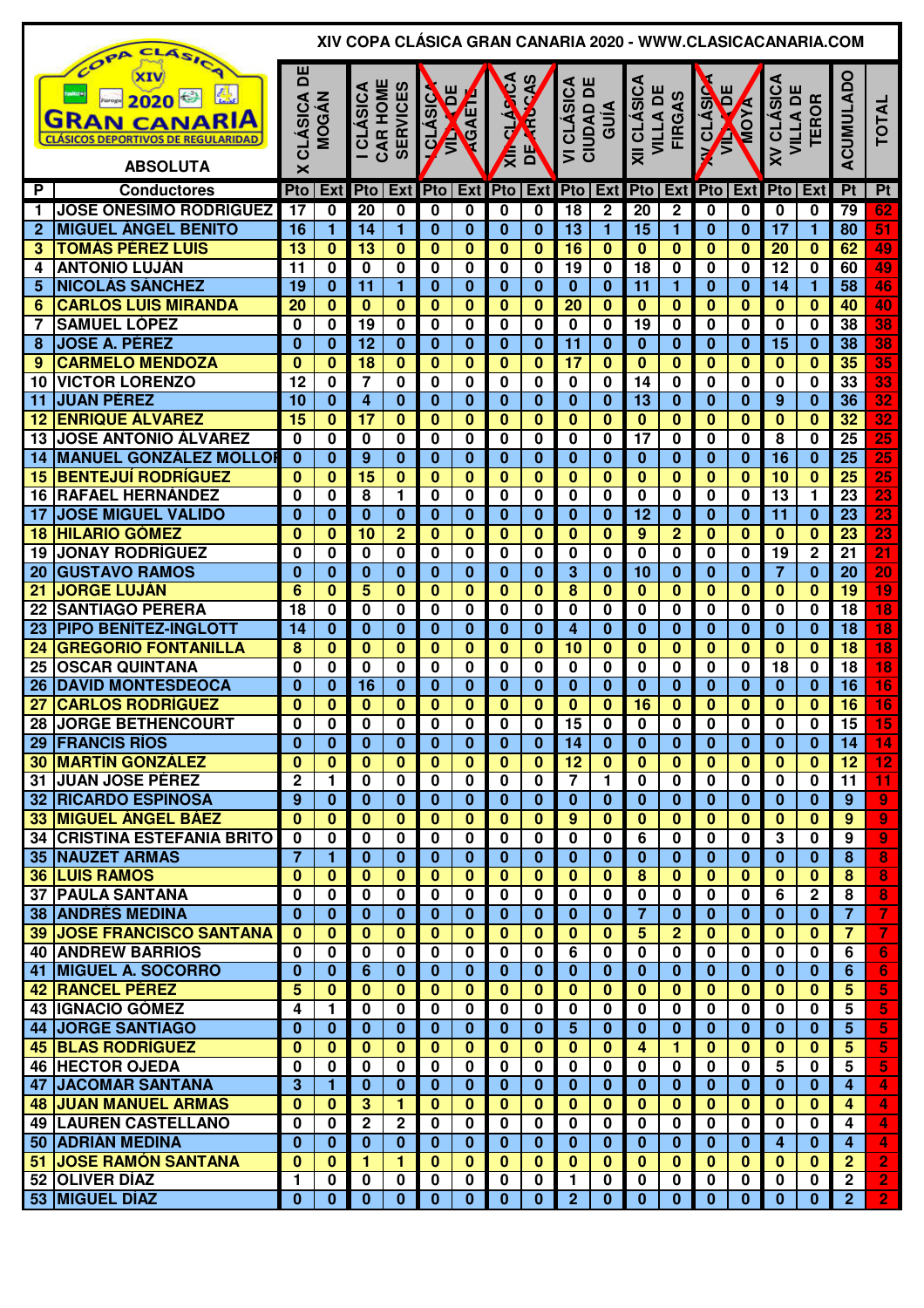|                 | ASIC                                                                                                       |                      |                         | XIV COPA CLASICA GRAN CANARIA 2020 - WWW.CLASICACANARIA.COM |                         |                              |                         |                     |                            |                                                              |                         |                                |                                     |                           |              |                                      |                         |                                    |                          |
|-----------------|------------------------------------------------------------------------------------------------------------|----------------------|-------------------------|-------------------------------------------------------------|-------------------------|------------------------------|-------------------------|---------------------|----------------------------|--------------------------------------------------------------|-------------------------|--------------------------------|-------------------------------------|---------------------------|--------------|--------------------------------------|-------------------------|------------------------------------|--------------------------|
|                 | COPA<br>XIV<br>2020<br><b>GRAN CANARIA</b><br><b>CLÁSICOS DEPORTIVOS DE REGULARIDAD</b><br><b>ABSOLUTA</b> | 片<br><b>CLÁSICA</b>  | <b>MOGÁN</b>            | CAR HOME<br><b>ICLÁSICA</b>                                 | <b>SERVICES</b>         | ш<br><b>OLASIC</b><br>Ē<br>Ê | <b>ROAET</b>            | <b>CLASTCA</b><br>Ę | $\ddot{\bm{z}}$<br>ę<br>ΡP | ш<br><b>CLÁSICA</b><br>CIUDAD D'<br>$\overline{\phantom{0}}$ | GUÍA                    | XII CLÁSICA<br><b>VILLA DE</b> | <b>FIRGAS</b>                       | Ĕ<br><b>V CLÁSIC</b><br>Ê | <b>A XOM</b> | <b>XV CLÁSICA</b><br><b>VILLA DE</b> | <b>TEROR</b>            | ACUMULADO                          | TOTAL                    |
|                 |                                                                                                            | ×                    |                         |                                                             |                         |                              |                         |                     |                            |                                                              |                         |                                |                                     |                           |              |                                      |                         |                                    |                          |
| P               | <b>Conductores</b>                                                                                         | Pto                  | Ext                     | Pto                                                         | Ext                     | Pto                          | <b>Ext</b>              | <b>Pto</b>          | <b>Ext</b>                 | Pto Ext                                                      |                         | Pto                            | <b>Ext</b>                          |                           | Pto Ext      | <b>Pto</b>                           | Ext                     | Pt                                 | Pt                       |
| $\mathbf 1$     | <b>JOSE ONÉSIMO RODRÍGUEZ</b>                                                                              | 17                   | 0                       | 20                                                          | 0                       | 0                            | 0                       | 0                   | 0                          | $\overline{18}$                                              | 2                       | 20                             | $\overline{\mathbf{2}}$             | 0                         | 0            | 0                                    | 0                       | 79                                 | 62                       |
| $\mathbf{2}$    | <b>MIGUEL ÁNGEL BENITO</b>                                                                                 | 16                   | $\mathbf{1}$            | 14                                                          | $\mathbf{1}$            | $\bf{0}$                     | $\mathbf{0}$            | $\bf{0}$            | $\bf{0}$                   | 13                                                           | $\blacksquare$          | 15                             | 1                                   | $\bf{0}$                  | $\bf{0}$     | 17                                   | $\mathbf{1}$            | 80                                 | 51                       |
| 3               | <b>TOMÁS PÉREZ LUIS</b>                                                                                    | 13                   | $\bf{0}$                | $\overline{13}$                                             | 0                       | $\mathbf{0}$                 | $\mathbf 0$             | $\mathbf{0}$        | $\bf{0}$                   | 16                                                           | $\bf{0}$                | $\bf{0}$                       | $\mathbf{0}$                        | $\mathbf{0}$              | $\bf{0}$     | 20                                   | $\mathbf{0}$            | 62                                 | 49                       |
| 4               | <b>ANTONIO LUJÁN</b>                                                                                       | 11                   | $\overline{\mathbf{0}}$ | $\overline{\mathbf{0}}$                                     | 0                       | $\bf{0}$                     | $\mathbf 0$             | 0                   | 0                          | 19                                                           | 0                       | 18                             | $\mathbf 0$                         | $\mathbf 0$               | $\mathbf 0$  | 12                                   | $\bf{0}$                | 60                                 | 49                       |
| 5               | <b>NICOLÁS SÁNCHEZ</b>                                                                                     | 19                   | $\bf{0}$                | 11                                                          | 1                       | $\bf{0}$                     | $\bf{0}$                | $\bf{0}$            | $\bf{0}$                   | $\bf{0}$                                                     | $\bf{0}$                | 11                             | 1                                   | $\bf{0}$                  | $\mathbf{0}$ | 14                                   | $\mathbf{1}$            | 58                                 | 46                       |
| 6               | <b>CARLOS LUIS MIRANDA</b>                                                                                 | 20                   | $\overline{\mathbf{0}}$ | $\overline{\mathbf{0}}$                                     | $\bf{0}$                | $\bf{0}$                     | $\overline{\mathbf{0}}$ | $\bf{0}$            | $\overline{\mathbf{0}}$    | $\overline{20}$                                              | $\overline{\mathbf{0}}$ | $\overline{\mathbf{0}}$        | $\overline{\mathbf{0}}$             | $\bf{0}$                  | $\bf{0}$     | $\overline{\mathbf{0}}$              | $\mathbf{0}$            | 40                                 | 40                       |
| 7               | <b>SAMUEL LÓPEZ</b>                                                                                        | $\bf{0}$             | $\bf{0}$                | 19                                                          | 0                       | $\bf{0}$                     | $\bf{0}$                | 0                   | 0                          | 0                                                            | 0                       | $\overline{19}$                | 0                                   | 0                         | 0            | $\bf{0}$                             | $\bf{0}$                | $\overline{38}$                    | 38                       |
| 8               | <b>JOSE A. PÉREZ</b>                                                                                       | $\bf{0}$             | $\bf{0}$                | $\overline{12}$                                             | $\bf{0}$                | $\bf{0}$                     | $\bf{0}$                | $\bf{0}$            | $\bf{0}$                   | $\overline{11}$                                              | $\bf{0}$                | $\bf{0}$                       | $\mathbf{0}$                        | $\bf{0}$                  | $\bf{0}$     | $\overline{15}$                      | $\bf{0}$                | $\overline{38}$                    | 38                       |
| 9               | <b>CARMELO MENDOZA</b>                                                                                     | $\bf{0}$             | $\bf{0}$                | $\overline{18}$                                             | $\bf{0}$                | $\bf{0}$                     | $\bf{0}$                | $\bf{0}$            | $\bf{0}$                   | $\overline{17}$                                              | $\overline{\mathbf{0}}$ | $\bf{0}$                       | $\mathbf{0}$                        | $\bf{0}$                  | $\bf{0}$     | $\overline{\mathbf{0}}$              | $\bf{0}$                | $\overline{35}$                    | $\overline{35}$          |
| 10              | <b>VICTOR LORENZO</b>                                                                                      | 12                   | $\bf{0}$                | $\overline{\mathbf{7}}$                                     | 0                       | $\bf{0}$                     | $\bf{0}$                | 0                   | $\bf{0}$                   | 0                                                            | 0                       | 14                             | 0                                   | 0                         | 0            | $\mathbf 0$                          | $\bf{0}$                | 33                                 | $\overline{\mathbf{33}}$ |
| 11              | <b>JUAN PÉREZ</b>                                                                                          | 10                   | $\bf{0}$                | 4                                                           | $\bf{0}$                | $\bf{0}$                     | $\bf{0}$                | $\bf{0}$            | $\bf{0}$                   | $\bf{0}$                                                     | $\overline{\mathbf{0}}$ | $\overline{13}$                | $\mathbf{0}$                        | $\bf{0}$                  | $\bf{0}$     | 9                                    | $\bf{0}$                | $\overline{36}$                    | 32                       |
| 12              | <b>ENRIQUE ÁLVAREZ</b>                                                                                     | $\overline{15}$      | $\overline{\mathbf{0}}$ | $\overline{17}$                                             | $\bf{0}$                | $\mathbf{0}$                 | $\bf{0}$                | $\bf{0}$            | $\bf{0}$                   | $\overline{\mathbf{0}}$                                      | $\overline{\mathbf{0}}$ | $\bf{0}$                       | $\mathbf{0}$                        | $\bf{0}$                  | $\bf{0}$     | $\bf{0}$                             | $\bf{0}$                | $\overline{32}$                    | $\overline{32}$          |
| 13              | <b>JOSE ANTONIO ÁLVAREZ</b>                                                                                | $\bf{0}$             | $\bf{0}$                | $\bf{0}$                                                    | 0                       | $\bf{0}$                     | $\bf{0}$                | 0                   | 0                          | 0                                                            | 0                       | $\overline{17}$                | $\overline{\mathbf{0}}$             | 0                         | 0            | 8                                    | 0                       | 25                                 | 25                       |
| 14              | <b>MANUEL GONZÁLEZ MOLLOR</b>                                                                              | $\mathbf{0}$         | $\overline{\mathbf{0}}$ | $\overline{9}$                                              | $\bf{0}$                | $\mathbf{0}$                 | $\bf{0}$                | $\bf{0}$            | $\bf{0}$                   | $\overline{\mathbf{0}}$                                      | $\overline{\mathbf{0}}$ | $\overline{\mathbf{0}}$        | $\overline{\mathbf{0}}$             | $\bf{0}$                  | $\bf{0}$     | $\overline{16}$                      | $\bf{0}$                | $\overline{25}$                    | $\overline{25}$          |
| 15              | <b>BENTEJUÍ RODRÍGUEZ</b>                                                                                  | $\bf{0}$             | $\bf{0}$                | $\overline{15}$                                             | 0                       | $\bf{0}$                     | $\mathbf 0$             | $\bf{0}$            | $\bf{0}$                   | $\bf{0}$                                                     | $\bf{0}$                | $\overline{\mathbf{0}}$        | $\overline{\mathbf{0}}$             | $\mathbf{0}$              | $\bf{0}$     | 10                                   | $\bf{0}$                | $\overline{25}$                    | $\overline{25}$          |
| 16              | <b>RAFAEL HERNÁNDEZ</b>                                                                                    | $\bf{0}$             | $\bf{0}$                | 8                                                           | 1                       | $\bf{0}$                     | 0                       | 0                   | 0                          | 0                                                            | 0                       | $\mathbf 0$                    | $\mathbf 0$                         | $\mathbf 0$               | 0            | 13                                   | 1                       | 23                                 | 23                       |
| 17              | <b>JOSE MIGUEL VALIDO</b>                                                                                  | $\mathbf{0}$         | $\bf{0}$                | $\bf{0}$                                                    | $\bf{0}$                | $\bf{0}$                     | $\bf{0}$                | $\bf{0}$            | $\bf{0}$                   | $\bf{0}$                                                     | $\bf{0}$                | $\overline{12}$                | $\mathbf{0}$                        | 0                         | $\bf{0}$     | 11                                   | $\bf{0}$                | 23                                 | 23                       |
| 18              | <b>HILARIO GÓMEZ</b>                                                                                       | $\bf{0}$             | $\overline{\mathbf{0}}$ | $\overline{10}$                                             | $\overline{2}$          | $\mathbf{0}$                 | $\bf{0}$                | $\bf{0}$            | $\bf{0}$                   | $\bf{0}$                                                     | $\overline{\mathbf{0}}$ | $\overline{9}$                 | $\overline{2}$                      | $\bf{0}$                  | 0            | $\mathbf{0}$                         | $\bf{0}$                | $\overline{23}$                    | $\overline{{\bf 23}}$    |
| 19              | <b>JONAY RODRÍGUEZ</b>                                                                                     | $\bf{0}$<br>$\bf{0}$ | $\bf{0}$                | 0<br>$\bf{0}$                                               | 0                       | 0                            | $\bf{0}$                | 0                   | 0                          | 0<br>$\overline{\mathbf{3}}$                                 | 0                       | 0                              | 0                                   | 0<br>0                    | 0            | 19                                   | $\mathbf 2$<br>$\bf{0}$ | $\overline{21}$<br>$\overline{20}$ | $\overline{21}$<br>20    |
| 20              | <b>GUSTAVO RAMOS</b><br><b>JORGE LUJÁN</b>                                                                 |                      | $\bf{0}$                |                                                             | $\bf{0}$                | $\bf{0}$                     | $\bf{0}$                | $\bf{0}$            | $\bf{0}$                   |                                                              | $\bf{0}$                | 10                             | $\bf{0}$<br>$\overline{\mathbf{0}}$ |                           | 0            | 7                                    |                         | 19                                 |                          |
| 21              |                                                                                                            | 6                    | $\bf{0}$                | 5<br>0                                                      | 0                       | $\bf{0}$                     | $\bf{0}$                | $\bf{0}$            | $\bf{0}$                   | 8                                                            | 0                       | $\bf{0}$<br>$\bf{0}$           |                                     | 0                         | 0            | $\bf{0}$                             | $\bf{0}$                |                                    | $\overline{19}$          |
| 22<br>23        | <b>SANTIAGO PERERA</b><br><b>PIPO BENÍTEZ-INGLOTT</b>                                                      | 18<br>14             | 0<br>$\bf{0}$           | $\bf{0}$                                                    | 0<br>$\bf{0}$           | 0<br>$\bf{0}$                | $\bf{0}$<br>$\bf{0}$    | 0<br>$\bf{0}$       | 0<br>$\bf{0}$              | 0<br>4                                                       | 0<br>$\bf{0}$           | $\bf{0}$                       | 0<br>$\bf{0}$                       | 0<br>0                    | 0<br>0       | 0<br>$\bf{0}$                        | 0<br>$\bf{0}$           | 18<br>$\overline{18}$              | 18<br>$\overline{18}$    |
| 24              | <b>GREGORIO FONTANILLA</b>                                                                                 | 8                    | $\bf{0}$                | $\bf{0}$                                                    | $\bf{0}$                | $\bf{0}$                     | $\bf{0}$                | $\bf{0}$            | $\bf{0}$                   | 10                                                           | 0                       | $\bf{0}$                       | $\bf{0}$                            | $\bf{0}$                  | 0            | $\bf{0}$                             | $\bf{0}$                | $\overline{18}$                    | $\overline{18}$          |
| 25              | <b>OSCAR QUINTANA</b>                                                                                      | $\bf{0}$             | 0                       | 0                                                           | 0                       | $\bf{0}$                     | $\mathbf 0$             | 0                   | 0                          | 0                                                            | 0                       | 0                              | $\mathbf 0$                         | 0                         | 0            | 18                                   | 0                       | 18                                 | $\overline{18}$          |
| 26              | <b>DAVID MONTESDEOCA</b>                                                                                   | $\Omega$             | $\bf{0}$                | 16                                                          | $\bf{0}$                | $\bf{0}$                     | $\bf{0}$                | $\bf{0}$            | 0                          | 0                                                            | $\bf{0}$                | $\bf{0}$                       | $\bf{0}$                            | 0                         | $\bf{0}$     | $\mathbf{0}$                         | $\bf{0}$                | $\overline{16}$                    | 16                       |
| $\overline{27}$ | <b>CARLOS RODRÍGUEZ</b>                                                                                    | $\bf{0}$             | $\bf{0}$                | $\mathbf{0}$                                                | $\bf{0}$                | $\bf{0}$                     | $\bf{0}$                | 0                   | $\bf{0}$                   | $\bf{0}$                                                     | $\bf{0}$                | 16                             | $\overline{\mathbf{0}}$             | $\bf{0}$                  | 0            | $\mathbf{0}$                         | $\bf{0}$                | 16                                 | 16                       |
| 28              | <b>JORGE BETHENCOURT</b>                                                                                   | $\pmb{0}$            | $\overline{\mathbf{0}}$ | $\overline{\mathbf{0}}$                                     | $\overline{\mathbf{0}}$ | $\pmb{0}$                    | $\overline{\mathbf{0}}$ | $\mathbf 0$         | $\overline{\mathbf{0}}$    | 15                                                           | $\overline{\mathbf{0}}$ | $\pmb{0}$                      | $\overline{\mathbf{0}}$             | $\mathbf 0$               | $\mathbf 0$  | $\overline{\mathbf{0}}$              | $\mathbf 0$             | $\overline{15}$                    | $\overline{15}$          |
|                 | 29 FRANCIS RÍOS                                                                                            | $\bf{0}$             | $\bf{0}$                | $\mathbf{0}$                                                | $\bf{0}$                | $\mathbf{0}$                 | $\overline{\mathbf{0}}$ | $\mathbf{0}$        | $\bf{0}$                   | 14                                                           | $\bf{0}$                | $\overline{\mathbf{0}}$        | $\mathbf{0}$                        | $\mathbf{0}$              | $\bf{0}$     | $\mathbf{0}$                         | $\mathbf{0}$            | 14                                 | 14                       |
|                 | <b>30 MARTÍN GONZÁLEZ</b>                                                                                  | $\bf{0}$             | $\bf{0}$                | $\bf{0}$                                                    | $\bf{0}$                | $\bf{0}$                     | $\mathbf{0}$            | $\mathbf{0}$        | 0                          | $\overline{12}$                                              | 0                       | $\bf{0}$                       | $\mathbf{0}$                        | $\mathbf{0}$              | $\mathbf{0}$ | $\mathbf{0}$                         | $\mathbf{0}$            | 12                                 | 12                       |
|                 | <b>31 JUAN JOSE PÉREZ</b>                                                                                  | $\overline{2}$       | 1                       | $\mathbf 0$                                                 | $\mathbf 0$             | $\mathbf 0$                  | $\mathbf 0$             | $\bf{0}$            | 0                          | $\overline{\mathbf{7}}$                                      | 1                       | $\mathbf 0$                    | $\mathbf 0$                         | $\mathbf 0$               | $\mathbf 0$  | $\mathbf 0$                          | $\mathbf 0$             | 11                                 | 11                       |
|                 | <b>32 RICARDO ESPINOSA</b>                                                                                 | 9                    | $\bf{0}$                | $\bf{0}$                                                    | $\bf{0}$                | $\bf{0}$                     | $\bf{0}$                | $\bf{0}$            | 0                          | $\bf{0}$                                                     | $\bf{0}$                | $\bf{0}$                       | $\bf{0}$                            | $\mathbf{0}$              | $\bf{0}$     | $\mathbf{0}$                         | $\bf{0}$                | $\overline{9}$                     | $\overline{9}$           |
|                 | <b>33 MIGUEL ÁNGEL BÁEZ</b>                                                                                | $\mathbf{0}$         | $\bf{0}$                | $\bf{0}$                                                    | $\bf{0}$                | $\bf{0}$                     | $\bf{0}$                | $\mathbf{0}$        | 0                          | 9                                                            | $\bf{0}$                | $\bf{0}$                       | $\mathbf{0}$                        | $\mathbf{0}$              | $\mathbf{0}$ | $\mathbf{0}$                         | $\bf{0}$                | 9                                  | $\overline{9}$           |
|                 | <b>34 CRISTINA ESTEFANIA BRITO</b>                                                                         | $\bf{0}$             | 0                       | $\bf{0}$                                                    | 0                       | $\bf{0}$                     | $\bf{0}$                | $\bf{0}$            | 0                          | $\mathbf 0$                                                  | $\mathbf 0$             | $\overline{6}$                 | $\mathbf 0$                         | $\mathbf 0$               | $\mathbf 0$  | $\overline{3}$                       | $\mathbf 0$             | 9                                  | $\overline{9}$           |
|                 | <b>35 NAUZET ARMAS</b>                                                                                     | $\overline{7}$       | 1                       | $\bf{0}$                                                    | $\bf{0}$                | $\bf{0}$                     | $\bf{0}$                | $\bf{0}$            | $\bf{0}$                   | $\bf{0}$                                                     | $\bf{0}$                | $\bf{0}$                       | $\mathbf{0}$                        | $\mathbf{0}$              | $\mathbf{0}$ | $\mathbf{0}$                         | $\bf{0}$                | 8                                  | 8                        |
|                 | <b>36 LUIS RAMOS</b>                                                                                       | $\bf{0}$             | $\bf{0}$                | $\bf{0}$                                                    | $\bf{0}$                | $\bf{0}$                     | $\mathbf{0}$            | $\mathbf{0}$        | 0                          | $\mathbf{0}$                                                 | $\bf{0}$                | $\overline{\mathbf{8}}$        | $\mathbf{0}$                        | $\mathbf{0}$              | $\mathbf{0}$ | $\mathbf{0}$                         | $\mathbf{0}$            | 8                                  | 8                        |
|                 | <b>37 PAULA SANTANA</b>                                                                                    | $\bf{0}$             | 0                       | $\mathbf 0$                                                 | $\mathbf 0$             | $\bf{0}$                     | $\mathbf 0$             | $\mathbf 0$         | $\mathbf 0$                | $\mathbf 0$                                                  | $\mathbf 0$             | $\mathbf 0$                    | $\mathbf 0$                         | $\mathbf 0$               | $\mathbf 0$  | 6                                    | $\mathbf 2$             | 8                                  | 8                        |
|                 | <b>38 ANDRÉS MEDINA</b>                                                                                    | $\mathbf{0}$         | $\mathbf 0$             | $\bf{0}$                                                    | $\bf{0}$                | $\bf{0}$                     | $\bf{0}$                | $\bf{0}$            | $\bf{0}$                   | $\bf{0}$                                                     | $\bf{0}$                | $\overline{7}$                 | $\mathbf{0}$                        | $\mathbf{0}$              | $\mathbf{0}$ | $\mathbf{0}$                         | $\bf{0}$                | $\overline{7}$                     | $\overline{\mathbf{7}}$  |
|                 | <b>39 JOSE FRANCISCO SANTANA</b>                                                                           | $\mathbf{0}$         | $\mathbf{0}$            | $\mathbf{0}$                                                | $\bf{0}$                | $\mathbf{0}$                 | $\mathbf{0}$            | $\bf{0}$            | $\bf{0}$                   | $\mathbf{0}$                                                 | $\mathbf{0}$            | $5\phantom{1}$                 | $\overline{2}$                      | $\mathbf{0}$              | $\mathbf{0}$ | $\mathbf{0}$                         | $\bf{0}$                | $\overline{7}$                     | $\overline{7}$           |
|                 | <b>40 ANDREW BARRIOS</b>                                                                                   | $\mathbf 0$          | $\mathbf 0$             | 0                                                           | $\mathbf 0$             | $\bf{0}$                     | $\mathbf 0$             | $\mathbf{0}$        | $\mathbf 0$                | 6                                                            | 0                       | $\mathbf 0$                    | 0                                   | 0                         | 0            | $\mathbf 0$                          | $\bf{0}$                | 6                                  | 6                        |
| 41              | <b>MIGUEL A. SOCORRO</b>                                                                                   | $\mathbf 0$          | $\bf{0}$                | 6                                                           | $\bf{0}$                | $\bf{0}$                     | $\bf{0}$                | $\bf{0}$            | $\bf{0}$                   | $\bf{0}$                                                     | $\bf{0}$                | $\mathbf{0}$                   | $\mathbf{0}$                        | $\mathbf{0}$              | $\bf{0}$     | $\bf{0}$                             | 0                       | 6                                  | 6                        |
| 42              | <b>RANCEL PÉREZ</b>                                                                                        | 5                    | $\bf{0}$                | $\bf{0}$                                                    | $\bf{0}$                | $\bf{0}$                     | $\bf{0}$                | $\bf{0}$            | $\bf{0}$                   | $\bf{0}$                                                     | 0                       | $\mathbf{0}$                   | $\bf{0}$                            | $\mathbf{0}$              | $\bf{0}$     | $\bf{0}$                             | $\bf{0}$                | 5                                  | 5                        |
|                 | 43 <b>IGNACIO GÓMEZ</b>                                                                                    | 4                    | 1                       | $\bf{0}$                                                    | 0                       | $\bf{0}$                     | $\mathbf 0$             | $\mathbf 0$         | $\mathbf 0$                | $\bf{0}$                                                     | 0                       | $\mathbf 0$                    | 0                                   | 0                         | 0            | $\bf{0}$                             | $\bf{0}$                | 5                                  | 5                        |
| 44              | <b>JORGE SANTIAGO</b>                                                                                      | $\bf{0}$             | $\bf{0}$                | $\bf{0}$                                                    | $\bf{0}$                | $\bf{0}$                     | $\bf{0}$                | $\bf{0}$            | $\bf{0}$                   | 5                                                            | $\bf{0}$                | $\bf{0}$                       | $\mathbf{0}$                        | 0                         | $\bf{0}$     | $\bf{0}$                             | $\bf{0}$                | 5                                  | 5                        |
| 45              | <b>BLAS RODRÍGUEZ</b>                                                                                      | $\bf{0}$             | $\bf{0}$                | $\bf{0}$                                                    | $\bf{0}$                | $\bf{0}$                     | $\bf{0}$                | $\bf{0}$            | $\bf{0}$                   | $\bf{0}$                                                     | 0                       | 4                              | 1.                                  | $\mathbf{0}$              | 0            | 0                                    | 0                       | 5                                  | 5                        |
| 46              | <b>HECTOR OJEDA</b>                                                                                        | $\bf{0}$             | 0                       | $\bf{0}$                                                    | 0                       | 0                            | $\bf{0}$                | 0                   | 0                          | 0                                                            | $\bf{0}$                | $\mathbf 0$                    | $\mathbf 0$                         | 0                         | 0            | 5                                    | 0                       | 5                                  | 5                        |
| 47              | <b>JACOMAR SANTANA</b>                                                                                     | 3                    | 1                       | $\bf{0}$                                                    | $\bf{0}$                | $\bf{0}$                     | $\bf{0}$                | $\bf{0}$            | $\bf{0}$                   | 0                                                            | $\bf{0}$                | $\bf{0}$                       | $\mathbf{0}$                        | $\mathbf{0}$              | $\bf{0}$     | $\bf{0}$                             | 0                       | 4                                  | $\overline{4}$           |
|                 | <b>48 JUAN MANUEL ARMAS</b>                                                                                | $\bf{0}$             | $\bf{0}$                | $3\phantom{a}$                                              | 1                       | $\bf{0}$                     | $\bf{0}$                | $\bf{0}$            | $\bf{0}$                   | $\bf{0}$                                                     | $\bf{0}$                | $\mathbf{0}$                   | $\mathbf{0}$                        | $\mathbf{0}$              | 0            | $\bf{0}$                             | $\bf{0}$                | 4                                  | 4                        |
|                 | <b>49   LAUREN CASTELLANO</b>                                                                              | $\mathbf 0$          | $\mathbf 0$             | $\overline{2}$                                              | $\overline{2}$          | $\bf{0}$                     | $\mathbf 0$             | $\bf{0}$            | $\mathbf 0$                | $\mathbf 0$                                                  | 0                       | $\mathbf 0$                    | $\mathbf 0$                         | $\mathbf 0$               | 0            | $\mathbf 0$                          | $\bf{0}$                | 4                                  | 4                        |
|                 | 50 ADRIÁN MEDINA                                                                                           | $\mathbf 0$          | $\bf{0}$                | $\bf{0}$                                                    | $\bf{0}$                | $\bf{0}$                     | $\bf{0}$                | $\bf{0}$            | $\bf{0}$                   | $\bf{0}$                                                     | $\bf{0}$                | $\mathbf{0}$                   | $\mathbf{0}$                        | $\mathbf{0}$              | $\mathbf{0}$ | 4                                    | $\bf{0}$                | $\overline{4}$                     | $\overline{4}$           |
|                 | 51 JOSE RAMÓN SANTANA                                                                                      | $\bf{0}$             | $\bf{0}$                | 1                                                           | 1                       | $\bf{0}$                     | $\mathbf{0}$            | $\bf{0}$            | $\bf{0}$                   | $\bf{0}$                                                     | $\bf{0}$                | $\mathbf{0}$                   | $\mathbf{0}$                        | $\mathbf{0}$              | $\mathbf{0}$ | $\mathbf{0}$                         | $\bf{0}$                | $\overline{2}$                     | $\overline{2}$           |
|                 | 52 OLIVER DÍAZ                                                                                             | 1                    | $\mathbf 0$             | $\mathbf 0$                                                 | 0                       | $\mathbf 0$                  | $\mathbf 0$             | $\mathbf 0$         | 0                          | $\mathbf{1}$                                                 | 0                       | 0                              | 0                                   | 0                         | 0            | $\mathbf 0$                          | $\bf{0}$                | $\mathbf{2}$                       | $\overline{2}$           |
|                 | 53 MIGUEL DÍAZ                                                                                             | $\bf{0}$             | $\mathbf{0}$            | $\mathbf{0}$                                                | $\mathbf{0}$            | $\bf{0}$                     | $\mathbf{0}$            | $\bf{0}$            | $\mathbf{0}$               | 2 <sub>2</sub>                                               | $\mathbf{0}$            | $\mathbf{0}$                   | $\mathbf{0}$                        | $\mathbf{0}$              | $\mathbf{0}$ | $\mathbf{0}$                         | $\bf{0}$                | 2 <sup>1</sup>                     | $\overline{2}$           |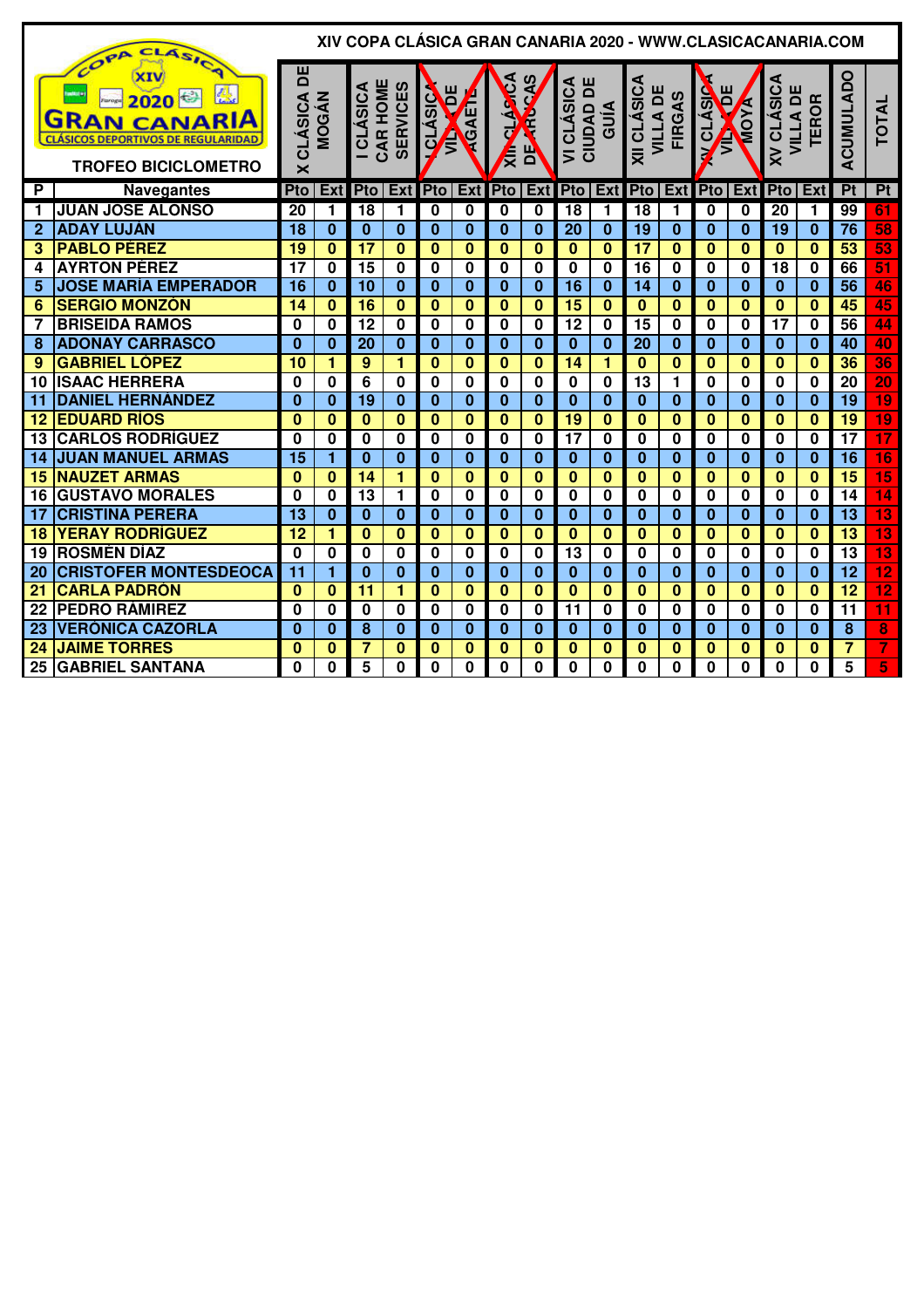|                | COPP CLASICA                                                                                                           |                                                |                         |                              |                 |                                      |                         |              |                         |                                                               |                         |                                |               |                         |              | XIV COPA CLÁSICA GRAN CANARIA 2020 - WWW.CLASICACANARIA.COM |              |                         |                 |
|----------------|------------------------------------------------------------------------------------------------------------------------|------------------------------------------------|-------------------------|------------------------------|-----------------|--------------------------------------|-------------------------|--------------|-------------------------|---------------------------------------------------------------|-------------------------|--------------------------------|---------------|-------------------------|--------------|-------------------------------------------------------------|--------------|-------------------------|-----------------|
|                | 恩<br><b>2020 - 3</b><br><b>GRAN CANARIA</b><br><b>CLÁSICOS DEPORTIVOS DE REGULARIDAD</b><br><b>TROFEO BICICLOMETRO</b> | 片<br><b>CLÁSICA</b><br>$\overline{\mathsf{x}}$ | <b>MOGÁN</b>            | CAR HOME<br><b>I CLÁSICA</b> | <b>SERVICES</b> | ш<br><b>QLASIC</b><br>$\vec{\Theta}$ | <b>GAET</b>             | CASACA<br>Ę  | $\overline{D}$          | <b>I CLÁSICA<br/>IUDAD DE</b><br><b>VI CLASIO</b><br>CIUDAD I | GUÍA                    | XII CLÁSICA<br><b>VILLA DE</b> | <b>FIRGAS</b> | Ĕ<br>V CLÁSIC           | MOYA<br>ĝ    | <b>XV CLASICA</b><br>片<br><b>VILLA</b>                      | <b>TEROR</b> | ACUMULADO               | <b>TOTAL</b>    |
| $\overline{P}$ | <b>Navegantes</b>                                                                                                      | Pto                                            | <b>Ext</b>              |                              |                 | <b>Pto Ext Pto Ext Pto</b>           |                         |              | Ext                     |                                                               |                         | <b>Pto Ext Pto Ext Pto Ext</b> |               |                         |              | Pto                                                         | Ext          | P <sub>t</sub>          | Pt              |
| 1              | <b>JUAN JOSÉ ALONSO</b>                                                                                                | 20                                             | 1                       | $\overline{18}$              | 1               | 0                                    | 0                       | 0            | 0                       | $\overline{18}$                                               | 1                       | 18                             | 1             | 0                       | 0            | $\overline{20}$                                             | $\mathbf{1}$ | 99                      | 61              |
| $\overline{2}$ | <b>ADAY LUJÁN</b>                                                                                                      | 18                                             | $\bf{0}$                | $\bf{0}$                     | $\bf{0}$        | 0                                    | $\bf{0}$                | 0            | $\bf{0}$                | 20                                                            | $\bf{0}$                | 19                             | 0             | $\bf{0}$                | $\Omega$     | 19                                                          | $\bf{0}$     | 76                      | 58              |
| 3              | <b>PABLO PÉREZ</b>                                                                                                     | 19                                             | $\bf{0}$                | $\overline{17}$              | $\bf{0}$        | $\bf{0}$                             | $\bf{0}$                | $\bf{0}$     | $\bf{0}$                | $\mathbf{0}$                                                  | $\bf{0}$                | 17                             | $\bf{0}$      | $\bf{0}$                | $\Omega$     | $\bf{0}$                                                    | $\bf{0}$     | $\overline{53}$         | 53              |
| 4              | <b>AYRTON PÉREZ</b>                                                                                                    | $\overline{17}$                                | $\mathbf 0$             | 15                           | $\bf{0}$        | $\bf{0}$                             | 0                       | $\bf{0}$     | 0                       | $\bf{0}$                                                      | 0                       | 16                             | $\mathbf 0$   | $\mathbf 0$             | $\bf{0}$     | 18                                                          | $\bf{0}$     | 66                      | 51              |
| 5              | <b>JOSE MARÍA EMPERADOR</b>                                                                                            | 16                                             | $\bf{0}$                | 10                           | $\bf{0}$        | $\bf{0}$                             | $\bf{0}$                | $\bf{0}$     | $\bf{0}$                | 16                                                            | $\bf{0}$                | 14                             | $\mathbf{0}$  | $\bf{0}$                | $\bf{0}$     | $\bf{0}$                                                    | $\bf{0}$     | 56                      | 46              |
| 6              | <b>SERGIO MONZÓN</b>                                                                                                   | $\overline{14}$                                | $\bf{0}$                | 16                           | $\bf{0}$        | $\mathbf{0}$                         | $\bf{0}$                | $\bf{0}$     | $\overline{\mathbf{0}}$ | 15                                                            | $\overline{\mathbf{0}}$ | $\bf{0}$                       | $\mathbf{0}$  | $\overline{\mathbf{0}}$ | $\mathbf{0}$ | $\bf{0}$                                                    | $\bf{0}$     | 45                      | 45              |
| 7              | <b>BRISEIDA RAMOS</b>                                                                                                  | $\bf{0}$                                       | 0                       | 12                           | $\bf{0}$        | 0                                    | 0                       | 0            | 0                       | 12                                                            | 0                       | 15                             | 0             | 0                       | $\bf{0}$     | $\overline{17}$                                             | 0            | 56                      | 44              |
| 8              | <b>ADONAY CARRASCO</b>                                                                                                 | $\bf{0}$                                       | $\bf{0}$                | 20                           | $\bf{0}$        | $\bf{0}$                             | $\bf{0}$                | $\bf{0}$     | $\bf{0}$                | $\bf{0}$                                                      | $\bf{0}$                | 20                             | $\bf{0}$      | $\bf{0}$                | $\bf{0}$     | $\bf{0}$                                                    | $\bf{0}$     | 40                      | 40              |
| 9              | <b>GABRIEL LÓPEZ</b>                                                                                                   | 10                                             | 1                       | 9                            | $\overline{1}$  | $\mathbf{0}$                         | $\bf{0}$                | $\bf{0}$     | $\bf{0}$                | $\overline{14}$                                               | 1                       | $\mathbf{0}$                   | $\mathbf{0}$  | $\overline{\mathbf{0}}$ | $\mathbf{0}$ | $\bf{0}$                                                    | $\bf{0}$     | $\overline{36}$         | $\overline{36}$ |
| 10             | <b>ISAAC HERRERA</b>                                                                                                   | $\bf{0}$                                       | $\bf{0}$                | 6                            | $\bf{0}$        | $\bf{0}$                             | $\mathbf{0}$            | $\mathbf{0}$ | 0                       | 0                                                             | 0                       | $\overline{13}$                | 1             | $\bf{0}$                | $\mathbf 0$  | $\bf{0}$                                                    | $\bf{0}$     | $\overline{20}$         | 20              |
| 11             | <b>DANIEL HERNÁNDEZ</b>                                                                                                | $\bf{0}$                                       | $\overline{\mathbf{0}}$ | $\overline{19}$              | $\bf{0}$        | $\bf{0}$                             | $\overline{\mathbf{0}}$ | $\bf{0}$     | $\overline{\mathbf{0}}$ | $\overline{\mathbf{0}}$                                       | $\overline{\mathbf{0}}$ | $\bf{0}$                       | $\bf{0}$      | $\overline{\mathbf{0}}$ | $\bf{0}$     | $\overline{\mathbf{0}}$                                     | $\bf{0}$     | 19                      | 19              |
| 12             | <b>EDUARD RÍOS</b>                                                                                                     | $\Omega$                                       | $\bf{0}$                | $\bf{0}$                     | $\bf{0}$        | $\bf{0}$                             | $\bf{0}$                | $\Omega$     | $\bf{0}$                | 19                                                            | $\bf{0}$                | $\bf{0}$                       | $\Omega$      | $\bf{0}$                | $\Omega$     | $\bf{0}$                                                    | $\Omega$     | $\overline{19}$         | 19              |
| 13             | <b>CARLOS RODRÍGUEZ</b>                                                                                                | $\Omega$                                       | 0                       | $\bf{0}$                     | $\bf{0}$        | 0                                    | 0                       | O            | 0                       | 17                                                            | 0                       | 0                              | 0             | $\bf{0}$                | $\Omega$     | $\bf{0}$                                                    | <sup>0</sup> | $\overline{17}$         | 17              |
| 14             | <b>JUAN MANUEL ARMAS</b>                                                                                               | $\overline{15}$                                | 1                       | $\mathbf{0}$                 | $\mathbf{0}$    | $\bf{0}$                             | $\overline{\mathbf{0}}$ | $\mathbf{0}$ | $\overline{\mathbf{0}}$ | $\mathbf{0}$                                                  | $\bf{0}$                | $\bf{0}$                       | $\mathbf{0}$  | $\mathbf{0}$            | $\mathbf{0}$ | $\mathbf{0}$                                                | $\bf{0}$     | $\overline{16}$         | $\overline{16}$ |
| 15             | <b>NAUZET ARMAS</b>                                                                                                    | $\bf{0}$                                       | $\bf{0}$                | 14                           | 1               | $\bf{0}$                             | $\bf{0}$                | $\bf{0}$     | $\bf{0}$                | $\bf{0}$                                                      | $\bf{0}$                | 0                              | $\bf{0}$      | $\bf{0}$                | $\bf{0}$     | $\bf{0}$                                                    | $\bf{0}$     | $\overline{15}$         | $\overline{15}$ |
| 16             | <b>GUSTAVO MORALES</b>                                                                                                 | 0                                              | $\bf{0}$                | 13                           | 1               | 0                                    | 0                       | 0            | 0                       | $\mathbf 0$                                                   | 0                       | 0                              | 0             | $\mathbf 0$             | 0            | $\mathbf 0$                                                 | $\bf{0}$     | $\overline{14}$         | $\overline{14}$ |
| 17             | <b>CRISTINA PERERA</b>                                                                                                 | 13                                             | $\bf{0}$                | $\bf{0}$                     | $\bf{0}$        | 0                                    | $\bf{0}$                | $\bf{0}$     | $\bf{0}$                | $\bf{0}$                                                      | $\bf{0}$                | $\bf{0}$                       | $\bf{0}$      | $\bf{0}$                | $\Omega$     | $\bf{0}$                                                    | $\bf{0}$     | 13                      | 13              |
| 18             | <b>YERAY RODRÍGUEZ</b>                                                                                                 | 12                                             | 1                       | $\bf{0}$                     | $\bf{0}$        | $\bf{0}$                             | $\bf{0}$                | $\bf{0}$     | $\bf{0}$                | $\mathbf{0}$                                                  | $\bf{0}$                | $\bf{0}$                       | $\Omega$      | $\bf{0}$                | $\Omega$     | $\bf{0}$                                                    | $\bf{0}$     | $\overline{13}$         | $\overline{13}$ |
| 19             | <b>ROSMÉN DÍAZ</b>                                                                                                     | $\bf{0}$                                       | 0                       | $\mathbf 0$                  | $\bf{0}$        | 0                                    | 0                       | 0            | 0                       | 13                                                            | 0                       | 0                              | $\bf{0}$      | $\overline{\mathbf{0}}$ | 0            | $\mathbf 0$                                                 | $\bf{0}$     | $\overline{13}$         | $\overline{13}$ |
| 20             | <b>CRISTOFER MONTESDEOCA</b>                                                                                           | 11                                             | 1                       | $\bf{0}$                     | $\bf{0}$        | $\bf{0}$                             | $\bf{0}$                | $\mathbf{0}$ | $\bf{0}$                | $\bf{0}$                                                      | $\bf{0}$                | $\bf{0}$                       | $\bf{0}$      | $\bf{0}$                | $\bf{0}$     | $\bf{0}$                                                    | $\bf{0}$     | $\overline{12}$         | $\overline{12}$ |
| 21             | <b>CARLA PADRÓN</b>                                                                                                    | $\bf{0}$                                       | $\bf{0}$                | 11                           | 1               | $\bf{0}$                             | $\bf{0}$                | $\bf{0}$     | $\bf{0}$                | $\mathbf{0}$                                                  | $\bf{0}$                | 0                              | $\bf{0}$      | $\bf{0}$                | $\bf{0}$     | $\bf{0}$                                                    | $\bf{0}$     | $\overline{12}$         | $\overline{12}$ |
| 22             | <b>PEDRO RÁMIREZ</b>                                                                                                   | $\Omega$                                       | $\bf{0}$                | $\bf{0}$                     | $\bf{0}$        | 0                                    | 0                       | 0            | 0                       | 11                                                            | 0                       | 0                              | 0             | 0                       | 0            | $\bf{0}$                                                    | 0            | 11                      | 11              |
| 23             | <b>VERONICA CAZORLA</b>                                                                                                | $\Omega$                                       | $\bf{0}$                | 8                            | $\bf{0}$        | $\bf{0}$                             | 0                       | $\bf{0}$     | $\bf{0}$                | $\bf{0}$                                                      | $\bf{0}$                | $\bf{0}$                       | $\bf{0}$      | $\bf{0}$                | $\bf{0}$     | $\bf{0}$                                                    | $\bf{0}$     | 8                       | $\overline{8}$  |
| 24             | <b>JAIME TORRES</b>                                                                                                    | $\bf{0}$                                       | $\bf{0}$                | $\overline{\mathbf{7}}$      | $\bf{0}$        | $\bf{0}$                             | 0                       | $\bf{0}$     | $\bf{0}$                | $\bf{0}$                                                      | 0                       | $\bf{0}$                       | $\bf{0}$      | $\mathbf{0}$            | $\bf{0}$     | $\bf{0}$                                                    | $\bf{0}$     | $\overline{\mathbf{7}}$ |                 |
| 25             | <b>GABRIEL SANTANA</b>                                                                                                 | 0                                              | $\bf{0}$                | 5                            | 0               | 0                                    | $\mathbf{0}$            | $\Omega$     | $\Omega$                | 0                                                             | $\bf{0}$                | 0                              | 0             | $\Omega$                | 0            | $\Omega$                                                    | $\bf{0}$     | 5                       | 5               |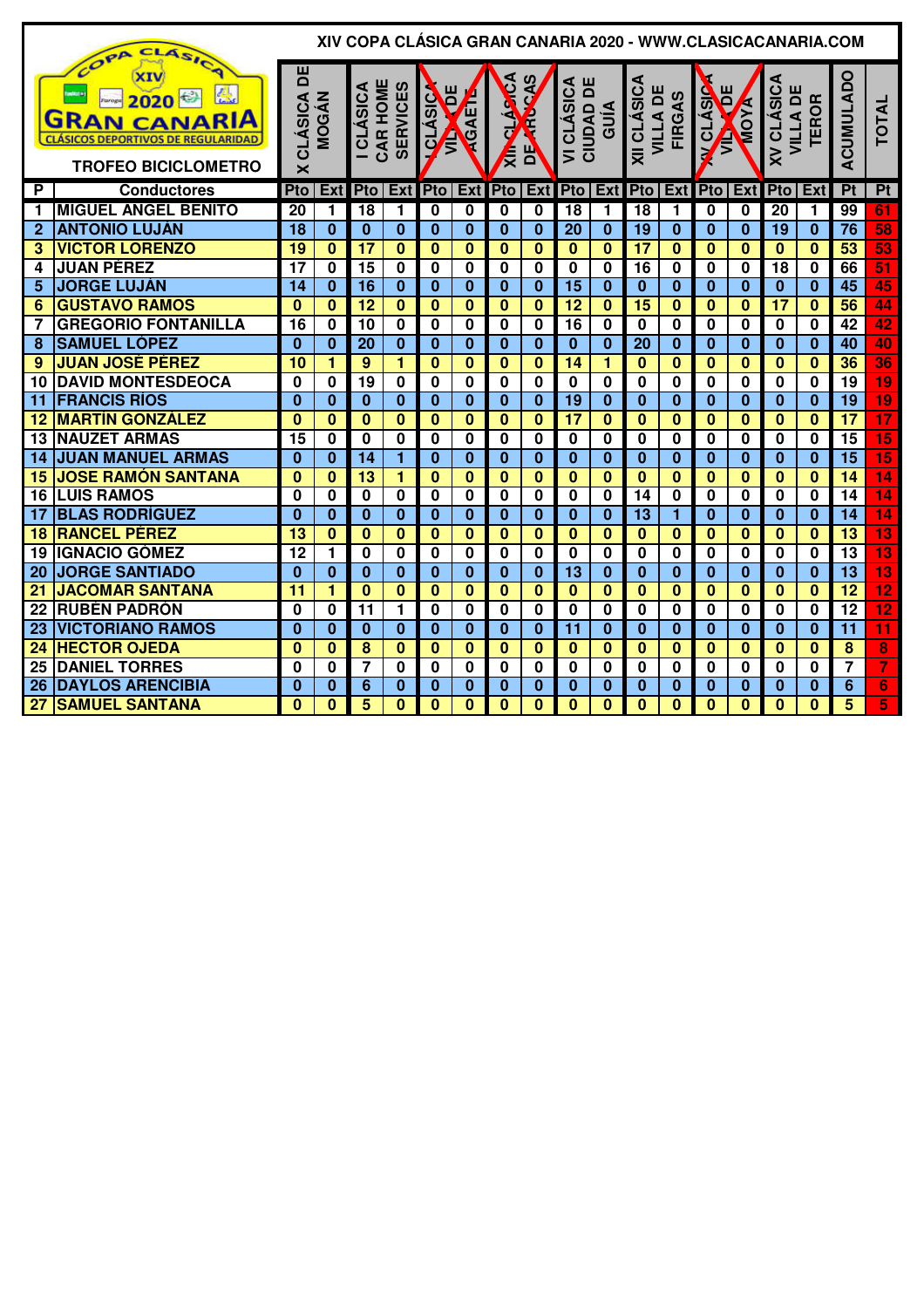|                | CLASIC<br>COPA                                                                                              |                                         |                         |                             |                         |                         |                         |                         |                         |                             |                         |                                       |                         |                           |                         |                               | XIV COPA CLÁSICA GRAN CANARIA 2020 - WWW.CLASICACANARIA.COM |                 |                         |
|----------------|-------------------------------------------------------------------------------------------------------------|-----------------------------------------|-------------------------|-----------------------------|-------------------------|-------------------------|-------------------------|-------------------------|-------------------------|-----------------------------|-------------------------|---------------------------------------|-------------------------|---------------------------|-------------------------|-------------------------------|-------------------------------------------------------------|-----------------|-------------------------|
|                | 愚<br>2020<br><b>GRAN CANARIA</b><br><b>CLÁSICOS DEPORTIVOS DE REGULARIDAD</b><br><b>TROFEO BICICLOMETRO</b> | 비<br>CLÁSICA<br>$\overline{\mathsf{x}}$ | <b>MOGÁN</b>            | CAR HOME<br><b>ICLASICA</b> | <b>SERVICES</b>         | Ĕ<br><b>QLÁSIC</b><br>Ê | <b>REAGAET</b>          | <b>ARCA</b><br>Ę        | $\mathbf{B}$            | VICLASICA<br>ш<br>CIUDAD DI | GUÍA                    | <b>XII CLÁSICA</b><br><b>VILLA DE</b> | <b>FIRGAS</b>           | <b>V CLÁSIC</b><br>ē<br>Ê | <b>AYOW</b>             | <b>XV CLASICA</b><br>VILLA DI | <b>TEROR</b>                                                | ACUMULADO       | <b>TOTAL</b>            |
| $\overline{P}$ | <b>Conductores</b>                                                                                          | Pto                                     |                         | Ext Pto Ext                 |                         | <b>Pto Ext</b>          |                         | <b>Pto</b>              | <b>Ext</b>              | <b>Pto</b>                  | Ex <sub>t</sub>         |                                       | Pto Ext                 |                           | <b>Pto Ext</b>          | Pto                           | <b>Ext</b>                                                  | $\overline{Pt}$ | P <sub>t</sub>          |
| 1              | <b>MIGUEL ÁNGEL BENITO</b>                                                                                  | 20                                      | 1                       | 18                          | 1                       | 0                       | 0                       | 0                       | 0                       | 18                          | 1                       | 18                                    | 1                       | 0                         | 0                       | 20                            | 1                                                           | 99              | 61                      |
| $\overline{2}$ | <b>ANTONIO LUJÁN</b>                                                                                        | 18                                      | $\bf{0}$                | $\bf{0}$                    | $\mathbf{0}$            | $\bf{0}$                | $\bf{0}$                | $\bf{0}$                | $\bf{0}$                | 20                          | $\bf{0}$                | 19                                    | $\bf{0}$                | $\mathbf{0}$              | $\bf{0}$                | $\overline{19}$               | $\bf{0}$                                                    | $\overline{76}$ | 58                      |
| 3              | <b>VICTOR LORENZO</b>                                                                                       | 19                                      | $\bf{0}$                | $\overline{17}$             | $\bf{0}$                | $\mathbf{0}$            | $\bf{0}$                | $\overline{\mathbf{0}}$ | $\overline{\mathbf{0}}$ | $\mathbf{0}$                | $\overline{\mathbf{0}}$ | $\overline{17}$                       | $\overline{\mathbf{0}}$ | $\mathbf{0}$              | $\overline{\mathbf{0}}$ | $\overline{\mathbf{0}}$       | $\bf{0}$                                                    | 53              | 53                      |
| 4              | <b>JUAN PÉREZ</b>                                                                                           | $\overline{17}$                         | 0                       | $\overline{15}$             | $\mathbf 0$             | $\bf{0}$                | $\overline{\mathbf{0}}$ | $\overline{\mathbf{0}}$ | $\overline{\mathbf{0}}$ | $\overline{\mathbf{0}}$     | $\overline{\mathbf{0}}$ | $\overline{16}$                       | $\overline{\mathbf{0}}$ | $\overline{\mathbf{0}}$   | $\overline{\mathbf{0}}$ | $\overline{18}$               | $\bf{0}$                                                    | 66              | 51                      |
| 5              | <b>JORGE LUJÁN</b>                                                                                          | 14                                      | $\bf{0}$                | 16                          | $\bf{0}$                | $\bf{0}$                | $\bf{0}$                | $\bf{0}$                | $\bf{0}$                | $\overline{15}$             | $\overline{\mathbf{0}}$ | $\bf{0}$                              | $\mathbf{0}$            | $\mathbf{0}$              | $\mathbf{0}$            | $\bf{0}$                      | $\bf{0}$                                                    | $\overline{45}$ | 45                      |
| 6              | <b>GUSTAVO RAMOS</b>                                                                                        | $\overline{\mathbf{0}}$                 | $\bf{0}$                | $\overline{12}$             | $\bf{0}$                | $\mathbf{0}$            | $\bf{0}$                | $\bf{0}$                | $\overline{\mathbf{0}}$ | $\overline{12}$             | $\overline{\mathbf{0}}$ | $\overline{15}$                       | $\mathbf{0}$            | $\bf{0}$                  | $\bf{0}$                | $\overline{17}$               | $\bf{0}$                                                    | 56              | 44                      |
| 7              | <b>GREGORIO FONTANILLA</b>                                                                                  | 16                                      | 0                       | 10                          | $\bf{0}$                | 0                       | 0                       | 0                       | 0                       | $\overline{16}$             | 0                       | 0                                     | 0                       | $\bf{0}$                  | $\bf{0}$                | $\bf{0}$                      | $\bf{0}$                                                    | $\overline{42}$ | 42                      |
| 8              | <b>SAMUEL LÓPEZ</b>                                                                                         | $\Omega$                                | $\bf{0}$                | 20                          | $\bf{0}$                | $\bf{0}$                | $\bf{0}$                | $\bf{0}$                | $\mathbf{0}$            | $\mathbf{0}$                | $\mathbf{0}$            | 20                                    | $\mathbf{0}$            | $\Omega$                  | $\bf{0}$                | $\bf{0}$                      | $\bf{0}$                                                    | 40              | 40                      |
| 9              | <b>JUAN JOSÉ PÉREZ</b>                                                                                      | 10                                      | 1                       | 9                           | 1                       | $\bf{0}$                | $\bf{0}$                | $\bf{0}$                | $\bf{0}$                | 14                          | 1                       | $\bf{0}$                              | $\mathbf{0}$            | $\bf{0}$                  | $\bf{0}$                | $\bf{0}$                      | $\bf{0}$                                                    | 36              | 36                      |
| 10             | <b>DAVID MONTESDEOCA</b>                                                                                    | $\Omega$                                | $\mathbf{0}$            | $\overline{19}$             | $\mathbf{0}$            | $\bf{0}$                | 0                       | $\mathbf{0}$            | 0                       | $\bf{0}$                    | 0                       | $\mathbf{0}$                          | 0                       | $\bf{0}$                  | $\bf{0}$                | $\bf{0}$                      | $\bf{0}$                                                    | 19              | 19                      |
| 11             | <b>FRANCIS RÍOS</b>                                                                                         | $\Omega$                                | $\bf{0}$                | $\bf{0}$                    | $\bf{0}$                | $\bf{0}$                | $\bf{0}$                | $\bf{0}$                | $\bf{0}$                | $\overline{19}$             | $\bf{0}$                | $\bf{0}$                              | $\mathbf{0}$            | $\mathbf{0}$              | $\bf{0}$                | $\bf{0}$                      | $\bf{0}$                                                    | $\overline{19}$ | $\overline{19}$         |
| 12             | <b>MARTÍN GONZÁLEZ</b>                                                                                      | $\mathbf{0}$                            | $\bf{0}$                | $\overline{\mathbf{0}}$     | $\overline{\mathbf{0}}$ | $\overline{\mathbf{0}}$ | $\mathbf{0}$            | $\bf{0}$                | $\overline{\mathbf{0}}$ | $\overline{17}$             | $\overline{\mathbf{0}}$ | $\overline{\mathbf{0}}$               | $\mathbf{0}$            | $\bf{0}$                  | $\overline{\mathbf{0}}$ | $\overline{\mathbf{0}}$       | $\bf{0}$                                                    | $\overline{17}$ | 17                      |
| 13             | <b>NAUZET ARMAS</b>                                                                                         | $\overline{15}$                         | 0                       | $\mathbf 0$                 | $\mathbf 0$             | 0                       | 0                       | 0                       | $\overline{\mathbf{0}}$ | $\bf{0}$                    | $\overline{\mathbf{0}}$ | 0                                     | 0                       | $\overline{\mathbf{0}}$   | $\overline{\mathbf{0}}$ | $\overline{\mathbf{0}}$       | $\bf{0}$                                                    | 15              | 15                      |
| 14             | <b>JUAN MANUEL ARMAS</b>                                                                                    | $\Omega$                                | $\bf{0}$                | $\overline{14}$             | 1                       | $\bf{0}$                | $\bf{0}$                | $\bf{0}$                | $\overline{\mathbf{0}}$ | $\bf{0}$                    | $\overline{\mathbf{0}}$ | $\bf{0}$                              | $\bf{0}$                | $\bf{0}$                  | $\bf{0}$                | $\bf{0}$                      | $\overline{\mathbf{0}}$                                     | $\overline{15}$ | $\overline{15}$         |
| 15             | <b>JOSE RAMÓN SANTANA</b>                                                                                   | $\bf{0}$                                | $\bf{0}$                | 13                          | 1                       | $\bf{0}$                | $\bf{0}$                | $\bf{0}$                | $\bf{0}$                | $\bf{0}$                    | $\overline{\mathbf{0}}$ | $\mathbf{0}$                          | $\bf{0}$                | $\mathbf{0}$              | $\bf{0}$                | $\mathbf{0}$                  | $\bf{0}$                                                    | $\overline{14}$ | $\overline{14}$         |
| 16             | <b>LUIS RAMOS</b>                                                                                           | $\bf{0}$                                | $\mathbf{0}$            | $\bf{0}$                    | $\mathbf{0}$            | $\bf{0}$                | $\overline{\mathbf{0}}$ | $\bf{0}$                | $\mathbf{0}$            | $\bf{0}$                    | $\overline{\mathbf{0}}$ | $\overline{14}$                       | $\overline{\mathbf{0}}$ | $\mathbf{0}$              | $\bf{0}$                | $\bf{0}$                      | $\bf{0}$                                                    | $\overline{14}$ | $\overline{14}$         |
| 17             | <b>BLAS RODRÍGUEZ</b>                                                                                       | $\bf{0}$                                | $\bf{0}$                | $\mathbf{0}$                | $\mathbf{0}$            | $\bf{0}$                | $\overline{\mathbf{0}}$ | $\overline{\mathbf{0}}$ | $\overline{\mathbf{0}}$ | $\bf{0}$                    | $\overline{\mathbf{0}}$ | $\overline{13}$                       | $\overline{\mathbf{1}}$ | $\bf{0}$                  | $\overline{\mathbf{0}}$ | $\overline{\mathbf{0}}$       | $\bf{0}$                                                    | $\overline{14}$ | $\overline{14}$         |
| 18             | <b>RANCEL PÉREZ</b>                                                                                         | $\overline{13}$                         | $\bf{0}$                | $\bf{0}$                    | $\bf{0}$                | $\mathbf{0}$            | $\bf{0}$                | $\bf{0}$                | $\overline{\mathbf{0}}$ | $\mathbf{0}$                | $\overline{\mathbf{0}}$ | $\mathbf{0}$                          | $\overline{\mathbf{0}}$ | $\bf{0}$                  | $\bf{0}$                | $\mathbf{0}$                  | $\bf{0}$                                                    | $\overline{13}$ | $\overline{\bf 13}$     |
| 19             | <b>IGNACIO GÓMEZ</b>                                                                                        | $\overline{12}$                         | 1                       | $\bf{0}$                    | $\mathbf 0$             | 0                       | 0                       | 0                       | $\overline{\mathbf{0}}$ | 0                           | $\overline{\mathbf{0}}$ | 0                                     | 0                       | $\bf{0}$                  | $\bf{0}$                | $\mathbf 0$                   | $\bf{0}$                                                    | $\overline{13}$ | $\overline{\bf 13}$     |
| 20             | <b>JORGE SANTIADO</b>                                                                                       | $\bf{0}$                                | $\overline{\mathbf{0}}$ | $\mathbf{0}$                | $\bf{0}$                | $\mathbf{0}$            | $\overline{\mathbf{0}}$ | $\bf{0}$                | $\overline{\mathbf{0}}$ | $\overline{13}$             | $\overline{\mathbf{0}}$ | $\mathbf{0}$                          | $\mathbf{0}$            | $\bf{0}$                  | $\mathbf{0}$            | $\mathbf{0}$                  | $\bf{0}$                                                    | $\overline{13}$ | 13                      |
| 21             | <b>JACOMAR SANTANA</b>                                                                                      | 11                                      | $\overline{\mathbf{1}}$ | $\mathbf{0}$                | $\mathbf{0}$            | $\bf{0}$                | $\bf{0}$                | $\bf{0}$                | $\mathbf{0}$            | $\bf{0}$                    | $\overline{\mathbf{0}}$ | $\bf{0}$                              | 0                       | $\bf{0}$                  | $\bf{0}$                | $\bf{0}$                      | $\bf{0}$                                                    | $\overline{12}$ | $\overline{12}$         |
| 22             | <b>RUBÉN PADRÓN</b>                                                                                         | $\Omega$                                | $\bf{0}$                | 11                          | 1                       | $\bf{0}$                | $\mathbf{0}$            | $\bf{0}$                | 0                       | $\mathbf{0}$                | 0                       | $\mathbf{0}$                          | 0                       | O                         | $\bf{0}$                | $\bf{0}$                      | $\bf{0}$                                                    | $\overline{12}$ | $\overline{12}$         |
| 23             | <b>VICTORIANO RAMOS</b>                                                                                     | $\Omega$                                | $\mathbf{0}$            | $\bf{0}$                    | $\bf{0}$                | $\bf{0}$                | $\bf{0}$                | $\bf{0}$                | $\bf{0}$                | 11                          | $\bf{0}$                | $\bf{0}$                              | $\mathbf{0}$            | $\Omega$                  | $\bf{0}$                | $\bf{0}$                      | $\bf{0}$                                                    | $\overline{11}$ | $\overline{11}$         |
| 24             | <b>HECTOR OJEDA</b>                                                                                         | $\Omega$                                | $\bf{0}$                | $\overline{\mathbf{8}}$     | $\bf{0}$                | $\Omega$                | $\bf{0}$                | $\bf{0}$                | $\mathbf{0}$            | $\Omega$                    | $\bf{0}$                | $\Omega$                              | $\mathbf{0}$            | $\Omega$                  | $\mathbf{0}$            | $\mathbf{0}$                  | $\bf{0}$                                                    | 8               | 8                       |
| 25             | <b>DANIEL TORRES</b>                                                                                        | $\bf{0}$                                | 0                       | 7                           | $\mathbf 0$             | 0                       | 0                       | 0                       | 0                       | $\bf{0}$                    | 0                       | 0                                     | 0                       | $\bf{0}$                  | 0                       | 0                             | 0                                                           | $\overline{7}$  | $\overline{7}$          |
| 26             | <b>DAYLOS ARENCIBIA</b>                                                                                     | $\Omega$                                | $\bf{0}$                | 6                           | $\bf{0}$                | $\bf{0}$                | $\bf{0}$                | $\bf{0}$                | $\overline{\mathbf{0}}$ | $\mathbf{0}$                | $\overline{\mathbf{0}}$ | $\mathbf{0}$                          | $\bf{0}$                | $\mathbf{0}$              | $\overline{\mathbf{0}}$ | $\mathbf{0}$                  | $\bf{0}$                                                    | $\overline{6}$  | $\overline{6}$          |
| 27             | <b>SAMUEL SANTANA</b>                                                                                       | $\mathbf{0}$                            | $\bf{0}$                | 5                           | $\mathbf{0}$            | $\mathbf{0}$            | $\mathbf{0}$            | $\bf{0}$                | $\overline{\mathbf{0}}$ | $\mathbf{0}$                | $\overline{\mathbf{0}}$ | $\mathbf{0}$                          | $\mathbf{0}$            | $\mathbf{0}$              | $\overline{\mathbf{0}}$ | $\mathbf{0}$                  | $\bf{0}$                                                    | $\overline{5}$  | $\overline{\mathbf{5}}$ |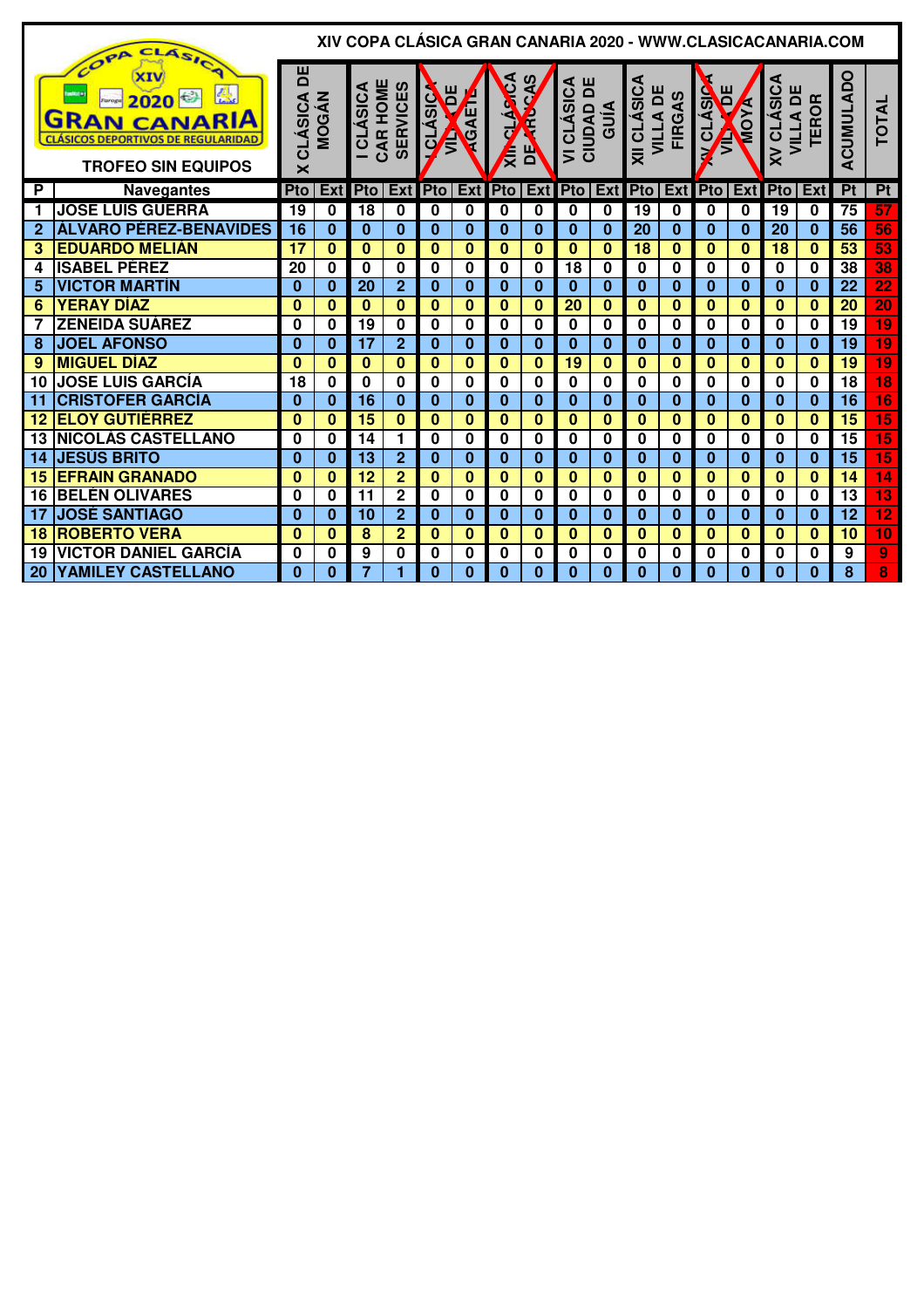|              | CLASICA<br>OPA                                                                                               |                                                |              |                            |                 |                              |             |                   |              |                                          |              |                         |               |                           |                | XIV COPA CLÁSICA GRAN CANARIA 2020 - WWW.CLASICACANARIA.COM |              |                 |                 |
|--------------|--------------------------------------------------------------------------------------------------------------|------------------------------------------------|--------------|----------------------------|-----------------|------------------------------|-------------|-------------------|--------------|------------------------------------------|--------------|-------------------------|---------------|---------------------------|----------------|-------------------------------------------------------------|--------------|-----------------|-----------------|
|              | xɪv<br>2020<br><b>GRAN CANARIA</b><br><b>CLASICOS DEPORTIVOS DE REGULARIDAD</b><br><b>TROFEO SIN EQUIPOS</b> | 片<br><b>CLÁSICA</b><br>$\overline{\mathsf{x}}$ | <b>MOGÁN</b> | CAR HOME<br><b>CLÁSICA</b> | <b>SERVICES</b> | ш<br><b>QLÁSIC</b><br>Ē<br>Ê | CAET        | <b>LINCA</b><br>∤ | 片            | <b>VI CLÁSICA<br/>CIUDAD DE<br/>GUÍA</b> |              | XII CLÁSICA<br>VILLA DE | <b>FIRGAS</b> | Ĕ<br><b>V CLASIC</b><br>Ê | <b>EXPLANS</b> | <b>XV CLASICA</b><br>VILLA DE                               | <b>TEROR</b> | ACUMULADO       | <b>TOTAL</b>    |
| P            | <b>Navegantes</b>                                                                                            | Pto                                            | Ext          | <b>Pto</b>                 | Ext             | <b>Pto</b>                   | Ext         | <b>Pto</b>        | Ext          | <b>Pto</b>                               | Ext          | Pto                     | Ext           | Pto                       | Ext            | Pto                                                         | Ext          | P <sub>t</sub>  | Pt              |
| 1            | <b>JOSE LUIS GUERRA</b>                                                                                      | 19                                             | 0            | 18                         | $\mathbf 0$     | 0                            | $\mathbf 0$ | 0                 | 0            | 0                                        | 0            | 19                      | $\bf{0}$      | 0                         | $\mathbf 0$    | 19                                                          | 0            | 75              | 57              |
| $\mathbf{2}$ | ÁLVARO PÉREZ-BENAVIDES                                                                                       | 16                                             | $\bf{0}$     | $\bf{0}$                   | $\mathbf{0}$    | $\bf{0}$                     | $\bf{0}$    | $\bf{0}$          | $\bf{0}$     | $\bf{0}$                                 | $\bf{0}$     | 20                      | $\bf{0}$      | $\bf{0}$                  | $\Omega$       | 20                                                          | $\bf{0}$     | 56              | 56              |
| 3            | <b>EDUARDO MELIÁN</b>                                                                                        | 17                                             | $\bf{0}$     | $\bf{0}$                   | $\bf{0}$        | $\bf{0}$                     | $\bf{0}$    | $\bf{0}$          | 0            | $\bf{0}$                                 | $\mathbf{0}$ | 18                      | $\bf{0}$      | $\bf{0}$                  | $\bf{0}$       | 18                                                          | $\bf{0}$     | 53              | 53              |
| 4            | <b>ISABEL PÉREZ</b>                                                                                          | 20                                             | 0            | $\bf{0}$                   | $\mathbf 0$     | 0                            | 0           | 0                 | 0            | 18                                       | 0            | 0                       | $\bf{0}$      | 0                         | $\bf{0}$       | 0                                                           | $\bf{0}$     | 38              | 38              |
| 5            | <b>VICTOR MARTÍN</b>                                                                                         | $\Omega$                                       | $\bf{0}$     | 20                         | $\overline{2}$  | $\Omega$                     | $\bf{0}$    | $\Omega$          | $\mathbf{0}$ | $\Omega$                                 | $\bf{0}$     | 0                       | $\Omega$      | $\Omega$                  | $\Omega$       | $\Omega$                                                    | $\Omega$     | 22              | $\overline{22}$ |
| 6            | <b>YERAY DIAZ</b>                                                                                            | $\bf{0}$                                       | $\bf{0}$     | $\bf{0}$                   | $\bf{0}$        | $\bf{0}$                     | 0           | $\Omega$          | 0            | 20                                       | $\bf{0}$     | 0                       | $\Omega$      | $\Omega$                  | $\Omega$       | O                                                           | $\Omega$     | 20              | 20              |
|              | <b>ZENEIDA SUÁREZ</b>                                                                                        | $\bf{0}$                                       | 0            | 19                         | $\bf{0}$        | 0                            | $\bf{0}$    | 0                 | 0            | $\bf{0}$                                 | 0            | 0                       | $\mathbf 0$   | $\bf{0}$                  | $\bf{0}$       | $\bf{0}$                                                    | $\bf{0}$     | 19              | 19              |
| 8            | <b>JOEL AFONSO</b>                                                                                           | $\bf{0}$                                       | $\bf{0}$     | 17                         | $\mathbf{2}$    | $\bf{0}$                     | $\bf{0}$    | $\bf{0}$          | $\bf{0}$     | $\bf{0}$                                 | $\mathbf{0}$ | 0                       | $\bf{0}$      | $\bf{0}$                  | $\bf{0}$       | 0                                                           | $\bf{0}$     | 19              | 19              |
| 9            | <b>MIGUEL DÍAZ</b>                                                                                           | $\bf{0}$                                       | $\bf{0}$     | $\bf{0}$                   | $\bf{0}$        | $\bf{0}$                     | $\bf{0}$    | $\bf{0}$          | $\mathbf{0}$ | 19                                       | 0            | 0                       | $\mathbf{0}$  | $\bf{0}$                  | $\bf{0}$       | $\bf{0}$                                                    | $\bf{0}$     | $\overline{19}$ | $\overline{19}$ |
| 10           | <b>JOSE LUIS GARCÍA</b>                                                                                      | 18                                             | 0            | $\mathbf 0$                | $\mathbf 0$     | 0                            | 0           | 0                 | $\mathbf 0$  | $\bf{0}$                                 | 0            | 0                       | $\bf{0}$      | 0                         | $\bf{0}$       | 0                                                           | 0            | 18              | $\overline{18}$ |
| 11           | <b>CRISTOFER GARCÍA</b>                                                                                      | $\bf{0}$                                       | $\bf{0}$     | 16                         | $\bf{0}$        | $\bf{0}$                     | $\bf{0}$    | $\bf{0}$          | $\bf{0}$     | $\bf{0}$                                 | $\mathbf{0}$ | 0                       | $\bf{0}$      | $\bf{0}$                  | $\bf{0}$       | $\mathbf{0}$                                                | $\bf{0}$     | $\overline{16}$ | $\overline{16}$ |
| 12           | <b>ELOY GUTIÉRREZ</b>                                                                                        | $\bf{0}$                                       | $\bf{0}$     | 15                         | $\bf{0}$        | $\bf{0}$                     | $\bf{0}$    | $\Omega$          | 0            | $\bf{0}$                                 | $\bf{0}$     | $\bf{0}$                | $\Omega$      | $\bf{0}$                  | $\Omega$       | $\bf{0}$                                                    | $\Omega$     | 15              | $\overline{15}$ |
| 13           | <b>INICOLÁS CASTELLANO</b>                                                                                   | 0                                              | 0            | 14                         | 1               | 0                            | 0           | 0                 | 0            | 0                                        | 0            | 0                       | 0             | $\bf{0}$                  | 0              | $\bf{0}$                                                    | $\bf{0}$     | 15              | $\overline{15}$ |
| 14           | <b>JESÚS BRITO</b>                                                                                           | $\bf{0}$                                       | $\mathbf{0}$ | $\overline{13}$            | $\overline{2}$  | $\bf{0}$                     | $\bf{0}$    | $\bf{0}$          | $\mathbf{0}$ | $\bf{0}$                                 | $\bf{0}$     | $\bf{0}$                | $\bf{0}$      | $\bf{0}$                  | $\bf{0}$       | $\bf{0}$                                                    | $\Omega$     | 15              | 15              |
| 15           | <b>EFRAIN GRANADO</b>                                                                                        | $\bf{0}$                                       | $\bf{0}$     | 12                         | $\overline{2}$  | $\bf{0}$                     | 0           | $\bf{0}$          | 0            | $\bf{0}$                                 | $\bf{0}$     | 0                       | $\Omega$      | $\bf{0}$                  | $\bf{0}$       | $\bf{0}$                                                    | $\bf{0}$     | 14              | $\overline{14}$ |
| 16           | <b>BELÉN OLIVARES</b>                                                                                        | 0                                              | 0            | 11                         | $\mathbf{2}$    | 0                            | 0           | 0                 | 0            | $\bf{0}$                                 | 0            | 0                       | $\mathbf 0$   | $\bf{0}$                  | $\bf{0}$       | $\mathbf 0$                                                 | $\bf{0}$     | 13              | $\overline{13}$ |
| 17           | <b>JOSÉ SANTIAGO</b>                                                                                         | $\bf{0}$                                       | $\bf{0}$     | 10                         | $\overline{2}$  | $\bf{0}$                     | $\bf{0}$    | $\bf{0}$          | $\bf{0}$     | $\bf{0}$                                 | $\mathbf{0}$ | 0                       | $\bf{0}$      | 0                         | $\bf{0}$       | 0                                                           | 0            | 12              | $\overline{12}$ |
| 18           | <b>ROBERTO VERA</b>                                                                                          | $\bf{0}$                                       | $\bf{0}$     | 8                          | $\overline{2}$  | $\bf{0}$                     | $\bf{0}$    | $\bf{0}$          | 0            | 0                                        | 0            | 0                       | $\bf{0}$      | $\bf{0}$                  | $\bf{0}$       | $\bf{0}$                                                    | $\bf{0}$     | 10              | $\overline{10}$ |
| 19           | <b>VICTOR DANIEL GARCIA</b>                                                                                  | 0                                              | 0            | 9                          | $\mathbf 0$     | 0                            | $\mathbf 0$ | 0                 | 0            | $\bf{0}$                                 | 0            | 0                       | $\bf{0}$      | $\bf{0}$                  | 0              | $\bf{0}$                                                    | $\bf{0}$     | 9               | 9               |
| 20           | <b>YAMILEY CASTELLANO</b>                                                                                    | $\Omega$                                       | $\bf{0}$     | 7                          | 1               | $\bf{0}$                     | $\bf{0}$    | $\bf{0}$          | 0            | 0                                        | $\mathbf{0}$ | 0                       | 0             | $\bf{0}$                  | $\bf{0}$       | $\mathbf{0}$                                                | $\bf{0}$     | 8               | 8               |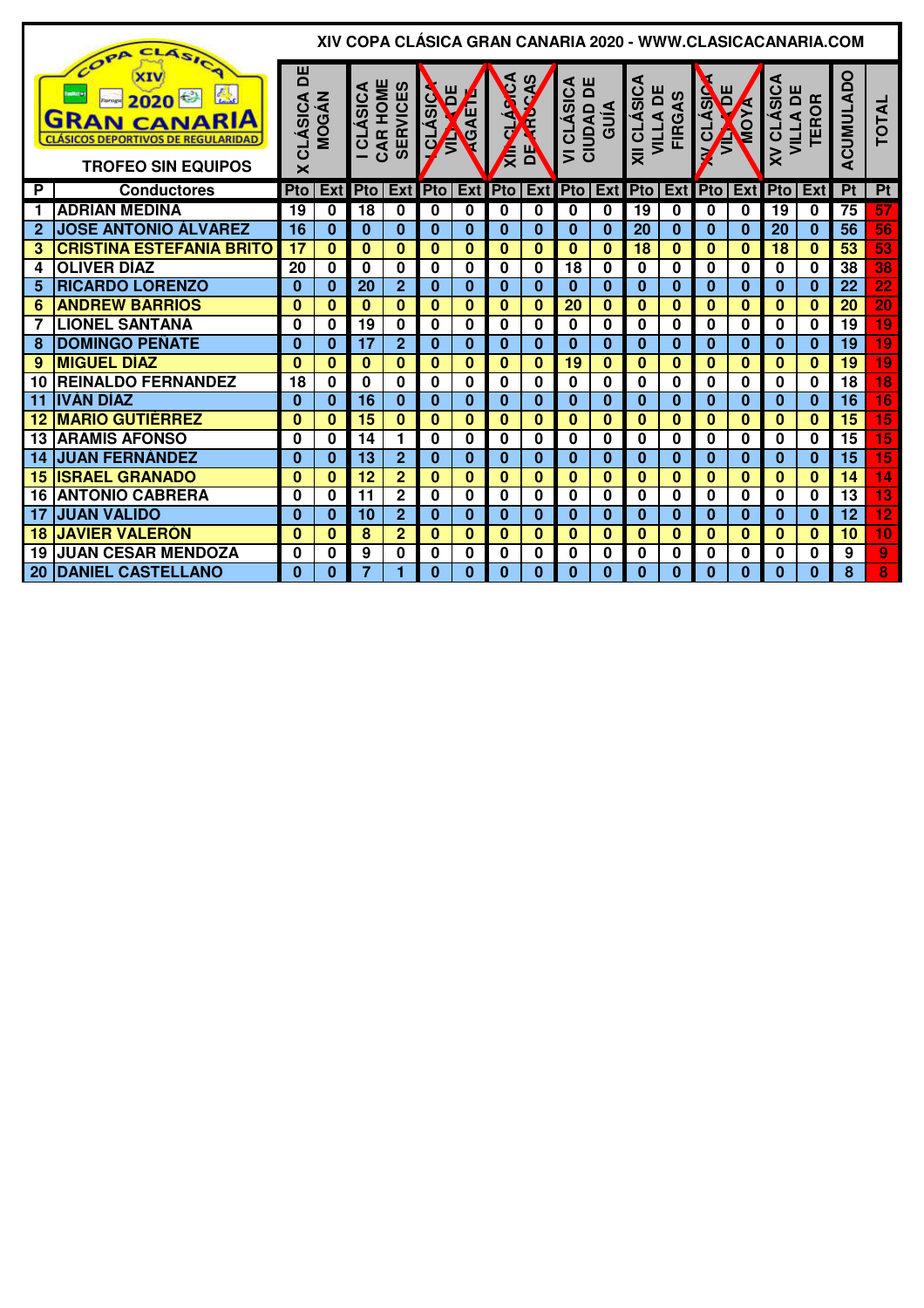|             | CLASIC<br>OPA                                                                                         |                                                |              | XIV COPA CLÁSICA GRAN CANARIA 2020 - WWW.CLASICACANARIA.COM |                 |                  |             |              |                              |                                          |              |             |                           |                         |              |                        |                                      |                 |                 |
|-------------|-------------------------------------------------------------------------------------------------------|------------------------------------------------|--------------|-------------------------------------------------------------|-----------------|------------------|-------------|--------------|------------------------------|------------------------------------------|--------------|-------------|---------------------------|-------------------------|--------------|------------------------|--------------------------------------|-----------------|-----------------|
|             | 2020<br><b>GRAN CANARIA</b><br><b>CLASICOS DEPORTIVOS DE REGULARIDAD</b><br><b>TROFEO SIN EQUIPOS</b> | 片<br><b>CLÁSICA</b><br>$\overline{\mathsf{x}}$ | <b>MOGÁN</b> | CAR HOME<br><b>CLÁSICA</b>                                  | <b>SERVICES</b> | E<br>CLÁSIC<br>Ę | CAET        | CLASCA<br>Ę  | Ш<br>$\overline{\mathbf{a}}$ | <b>VI CLÁSICA<br/>CIUDAD DE<br/>GUÍA</b> |              | XII CLÁSICA | VILLA DE<br><b>FIRGAS</b> | Ĕ<br><b>ALASIC</b><br>Ê | <b>ALCIA</b> | <b>XV CLASICA</b><br>ш | VILLA DI<br>$\alpha$<br><b>TEROI</b> | ACUMULADO       | <b>TOTAL</b>    |
| P           | <b>Conductores</b>                                                                                    | Pto                                            | Ext          | Pto                                                         | Ext             | <b>Pto</b>       | Ext         | <b>Pto</b>   | <b>Ext</b>                   | <b>Pto</b>                               | Ext          | Pto         | Ext                       | <b>Pto</b>              | Ext          | Pto                    | Ext                                  | P <sub>t</sub>  | Pt              |
| 1           | <b>ADRIÁN MEDINA</b>                                                                                  | 19                                             | 0            | 18                                                          | $\bf{0}$        | $\bf{0}$         | $\bf{0}$    | 0            | 0                            | 0                                        | 0            | 19          | $\bf{0}$                  | 0                       | $\bf{0}$     | 19                     | 0                                    | 75              | 57              |
| $\mathbf 2$ | <b>JOSE ANTONIO ÁLVAREZ</b>                                                                           | 16                                             | $\bf{0}$     | $\bf{0}$                                                    | $\bf{0}$        | $\bf{0}$         | $\bf{0}$    | $\bf{0}$     | $\bf{0}$                     | $\bf{0}$                                 | $\bf{0}$     | 20          | $\bf{0}$                  | $\bf{0}$                | $\bf{0}$     | 20                     | $\bf{0}$                             | 56              | 56              |
| 3           | <b>CRISTINA ESTEFANIA BRITO</b>                                                                       | 17                                             | $\bf{0}$     | $\Omega$                                                    | $\Omega$        | $\Omega$         | $\Omega$    | $\Omega$     | $\bf{0}$                     | $\mathbf{0}$                             | $\mathbf{0}$ | 18          | $\mathbf{0}$              | 0                       | $\Omega$     | 18                     | 0                                    | 53              | 53              |
| 4           | <b>OLIVER DÍAZ</b>                                                                                    | 20                                             | 0            | $\bf{0}$                                                    | $\mathbf 0$     | 0                | 0           | 0            | $\bf{0}$                     | 18                                       | 0            | 0           | 0                         | 0                       | $\bf{0}$     | $\bf{0}$               | $\bf{0}$                             | 38              | 38              |
| 5           | <b>RICARDO LORENZO</b>                                                                                | $\Omega$                                       | $\bf{0}$     | 20                                                          | $\overline{2}$  | $\bf{0}$         | $\bf{0}$    | $\bf{0}$     | $\mathbf{0}$                 | $\bf{0}$                                 | $\mathbf{0}$ | 0           | $\bf{0}$                  | $\bf{0}$                | $\bf{0}$     | $\bf{0}$               | $\bf{0}$                             | 22              | $\overline{22}$ |
| 6           | <b>ANDREW BARRIOS</b>                                                                                 | $\bf{0}$                                       | $\bf{0}$     | 0                                                           | $\bf{0}$        | $\bf{0}$         | $\bf{0}$    | $\bf{0}$     | 0                            | 20                                       | 0            | 0           | 0                         | 0                       | 0            | $\bf{0}$               | $\bf{0}$                             | 20              | $\overline{20}$ |
|             | <b>LIONEL SANTANA</b>                                                                                 | 0                                              | 0            | 19                                                          | $\mathbf 0$     | 0                | 0           | 0            | $\bf{0}$                     | 0                                        | 0            | 0           | $\bf{0}$                  | $\bf{0}$                | $\bf{0}$     | $\bf{0}$               | $\bf{0}$                             | 19              | $\overline{19}$ |
| 8           | <b>DOMINGO PEÑATE</b>                                                                                 | 0                                              | $\bf{0}$     | 17                                                          | $\overline{2}$  | $\bf{0}$         | $\bf{0}$    | $\bf{0}$     | $\bf{0}$                     | 0                                        | $\mathbf{0}$ | 0           | $\bf{0}$                  | 0                       | $\bf{0}$     | 0                      | $\bf{0}$                             | 19              | 19              |
| 9           | <b>MIGUEL DÍAZ</b>                                                                                    | $\bf{0}$                                       | $\bf{0}$     | $\mathbf{0}$                                                | $\bf{0}$        | $\bf{0}$         | $\bf{0}$    | $\mathbf{0}$ | $\bf{0}$                     | 19                                       | $\bf{0}$     | $\bf{0}$    | $\mathbf{0}$              | $\bf{0}$                | $\bf{0}$     | $\bf{0}$               | $\bf{0}$                             | 19              | $\overline{19}$ |
| 10          | <b>REINALDO FERNANDEZ</b>                                                                             | 18                                             | 0            | $\bf{0}$                                                    | $\mathbf 0$     | 0                | $\mathbf 0$ | 0            | $\mathbf 0$                  | $\bf{0}$                                 | 0            | 0           | $\bf{0}$                  | 0                       | $\bf{0}$     | $\bf{0}$               | $\bf{0}$                             | 18              | $\overline{18}$ |
| 11          | <b>IVÁN DÍAZ</b>                                                                                      | $\bf{0}$                                       | $\bf{0}$     | 16                                                          | $\bf{0}$        | $\bf{0}$         | $\bf{0}$    | $\bf{0}$     | $\bf{0}$                     | $\bf{0}$                                 | $\mathbf{0}$ | 0           | $\bf{0}$                  | $\bf{0}$                | $\Omega$     | $\bf{0}$               | $\bf{0}$                             | 16              | 16              |
| 12          | <b>MARIO GUTIÉRREZ</b>                                                                                | $\bf{0}$                                       | $\bf{0}$     | 15                                                          | $\bf{0}$        | $\bf{0}$         | $\bf{0}$    | $\bf{0}$     | 0                            | $\bf{0}$                                 | $\bf{0}$     | $\bf{0}$    | $\Omega$                  | $\bf{0}$                | $\Omega$     | $\bf{0}$               | $\Omega$                             | 15              | $\overline{15}$ |
| 13          | <b>ARAMIS AFONSO</b>                                                                                  | 0                                              | 0            | 14                                                          | 1               | 0                | 0           | 0            | 0                            | 0                                        | $\mathbf{0}$ | 0           | 0                         | O                       | 0            | 0                      | 0                                    | 15              | $\overline{15}$ |
| 14          | <b>JUAN FERNÁNDEZ</b>                                                                                 | $\Omega$                                       | $\bf{0}$     | 13                                                          | $\overline{2}$  | $\Omega$         | $\bf{0}$    | $\Omega$     | $\mathbf{0}$                 | $\Omega$                                 | $\bf{0}$     | 0           | $\Omega$                  | $\Omega$                | $\Omega$     | $\Omega$               | $\Omega$                             | $\overline{15}$ | $\overline{15}$ |
| 15          | <b>ISRAEL GRANADO</b>                                                                                 | $\bf{0}$                                       | $\bf{0}$     | 12                                                          | $\overline{2}$  | $\bf{0}$         | $\bf{0}$    | $\bf{0}$     | $\bf{0}$                     | $\bf{0}$                                 | $\mathbf{0}$ | 0           | $\Omega$                  | $\bf{0}$                | $\bf{0}$     | 0                      | $\bf{0}$                             | 14              | 14              |
| 16          | <b>ANTONIO CABRERA</b>                                                                                | 0                                              | 0            | 11                                                          | $\overline{2}$  | 0                | $\bf{0}$    | 0            | 0                            | $\bf{0}$                                 | 0            | 0           | $\bf{0}$                  | $\bf{0}$                | $\bf{0}$     | $\bf{0}$               | $\bf{0}$                             | $\overline{13}$ | $\overline{13}$ |
| 17          | <b>JUAN VALIDO</b>                                                                                    | $\Omega$                                       | $\bf{0}$     | 10                                                          | $\overline{2}$  | $\bf{0}$         | $\bf{0}$    | $\bf{0}$     | $\bf{0}$                     | $\bf{0}$                                 | $\mathbf{0}$ | 0           | 0                         | 0                       | 0            | 0                      | $\Omega$                             | 12              | $\overline{12}$ |
| 18          | <b>JAVIER VALERON</b>                                                                                 | $\bf{0}$                                       | $\bf{0}$     | 8                                                           | $\overline{2}$  | $\bf{0}$         | $\bf{0}$    | $\bf{0}$     | 0                            | $\bf{0}$                                 | 0            | 0           | $\bf{0}$                  | $\bf{0}$                | $\bf{0}$     | $\bf{0}$               | $\bf{0}$                             | 10              | 10              |
| 19          | <b>JUAN CESAR MENDOZA</b>                                                                             | 0                                              | 0            | 9                                                           | $\mathbf 0$     | 0                | $\mathbf 0$ | 0            | 0                            | $\bf{0}$                                 | 0            | 0           | $\bf{0}$                  | $\bf{0}$                | 0            | $\bf{0}$               | $\bf{0}$                             | 9               | 9               |
| 20          | <b>DANIEL CASTELLANO</b>                                                                              | $\Omega$                                       | $\bf{0}$     | 7                                                           | 1               | $\Omega$         | $\bf{0}$    | $\bf{0}$     | 0                            | 0                                        | $\mathbf{0}$ | 0           | 0                         | 0                       | 0            | $\Omega$               | $\mathbf{0}$                         | 8               | 8               |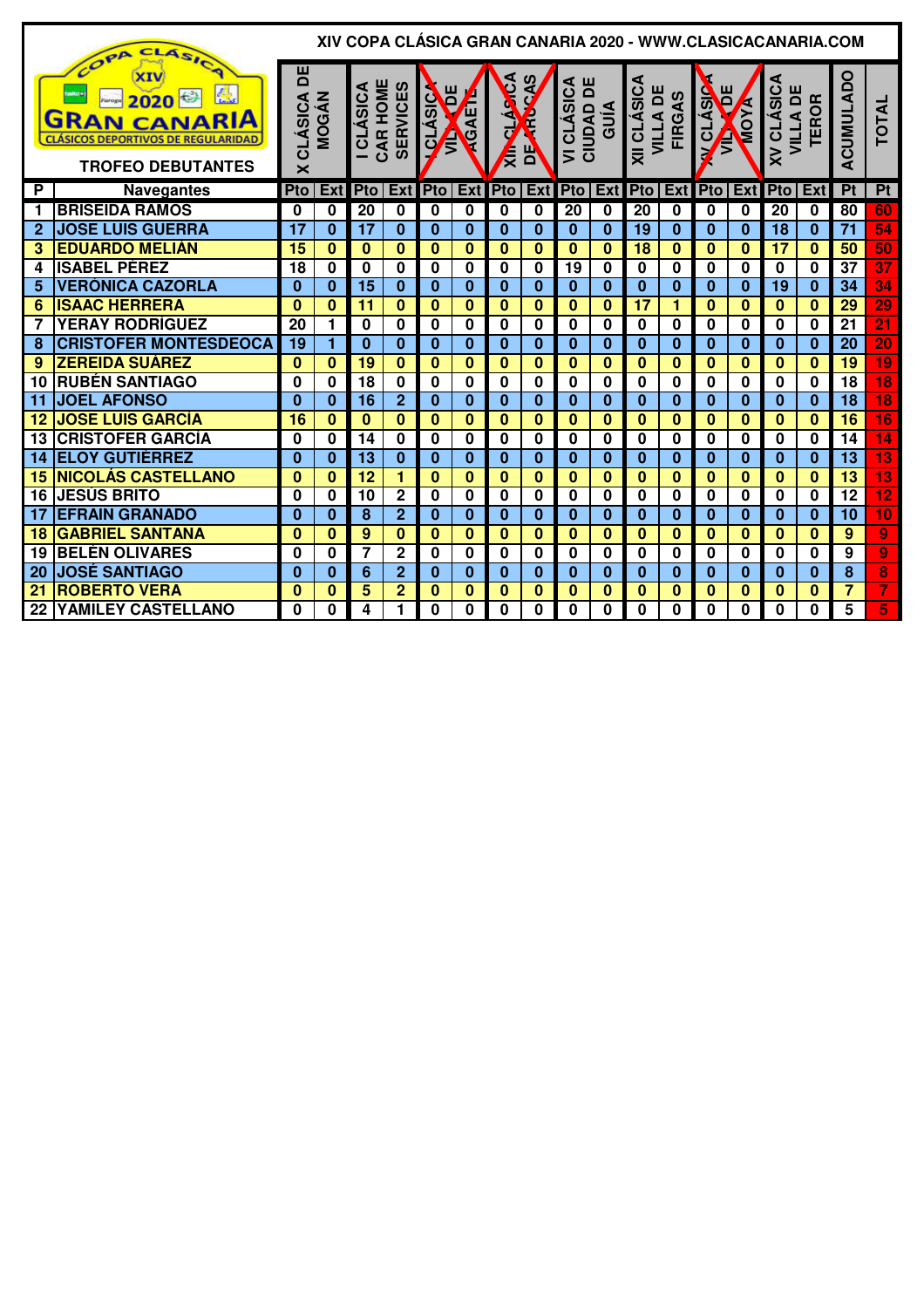|              | CL.<br>ASICA                                                                                                           |                   |              |                             |                 |                       |              |              |                              |                                          |              |                                    |               |                          |             |                  | XIV COPA CLÁSICA GRAN CANARIA 2020 - WWW.CLASICACANARIA.COM |                 |                         |
|--------------|------------------------------------------------------------------------------------------------------------------------|-------------------|--------------|-----------------------------|-----------------|-----------------------|--------------|--------------|------------------------------|------------------------------------------|--------------|------------------------------------|---------------|--------------------------|-------------|------------------|-------------------------------------------------------------|-----------------|-------------------------|
|              | COPA<br>2020<br>Faroga<br><b>GRAN CANARIA</b><br><b>CLÁSICOS DEPORTIVOS DE REGULARIDAD</b><br><b>TROFEO DEBUTANTES</b> | 片<br>CLÁSICA<br>× | <b>MOGÁN</b> | CAR HOME<br><b>ICLÁSICA</b> | <b>SERVICES</b> | ш<br>CLÁSIC<br>Ē<br>Ê | ⁄<br>∡<br>Ġ  | CLASCA<br>Ę  | D<br>$\overline{\mathbf{a}}$ | <b>VI CLÁSICA<br/>CIUDAD DE<br/>GUÍA</b> |              | XII CLÁSICA<br><b>VILLA DE</b>     | <b>FIRGAS</b> | Ĕ<br><b>VCLASIC</b><br>Ţ | MOYA        | <b>XV CLÁSIC</b> | <b><i>I</i>LLADE</b><br>TEROR<br><b>VILLA</b>               | ACUMULADO       | <b>TOTAL</b>            |
| P            | <b>Navegantes</b>                                                                                                      | Pto               |              | Ext Pto Ext Pto Ext Pto     |                 |                       |              |              |                              |                                          |              | <b>Ext</b> Pto Ext Pto Ext Pto Ext |               |                          |             | <b>Pto</b>       | Ext                                                         | P <sub>t</sub>  | Pt                      |
| 1            | <b>BRISEIDA RAMOS</b>                                                                                                  | $\bf{0}$          | $\bf{0}$     | 20                          | $\bf{0}$        | 0                     | 0            | 0            | 0                            | 20                                       | 0            | 20                                 | 0             | 0                        | $\bf{0}$    | 20               | $\bf{0}$                                                    | 80              | 60                      |
| $\mathbf{2}$ | <b>JOSE LUIS GUERRA</b>                                                                                                | 17                | $\bf{0}$     | 17                          | $\mathbf{0}$    | $\bf{0}$              | $\bf{0}$     | $\bf{0}$     | $\bf{0}$                     | $\bf{0}$                                 | $\mathbf{0}$ | 19                                 | $\bf{0}$      | $\bf{0}$                 | $\bf{0}$    | 18               | $\bf{0}$                                                    | 71              | $\overline{54}$         |
| 3            | <b>EDUARDO MELIÁN</b>                                                                                                  | 15                | $\mathbf{0}$ | $\mathbf{0}$                | $\mathbf{0}$    | $\bf{0}$              | $\bf{0}$     | $\mathbf{0}$ | $\bf{0}$                     | $\mathbf{0}$                             | $\mathbf{0}$ | $\overline{18}$                    | $\mathbf{0}$  | $\bf{0}$                 | $\bf{0}$    | $\overline{17}$  | $\mathbf{0}$                                                | 50              | 50                      |
| 4            | <b>ISABEL PÉREZ</b>                                                                                                    | 18                | $\bf{0}$     | 0                           | $\bf{0}$        | 0                     | 0            | 0            | 0                            | 19                                       | 0            | 0                                  | 0             | $\bf{0}$                 | 0           | 0                | $\bf{0}$                                                    | 37              | $\overline{37}$         |
| 5            | <b>VERÓNICA CAZORLA</b>                                                                                                | $\bf{0}$          | $\bf{0}$     | 15                          | $\bf{0}$        | $\bf{0}$              | $\bf{0}$     | $\bf{0}$     | $\mathbf{0}$                 | $\bf{0}$                                 | $\bf{0}$     | $\bf{0}$                           | $\bf{0}$      | $\bf{0}$                 | $\bf{0}$    | 19               | $\bf{0}$                                                    | 34              | 34                      |
| 6            | <b>ISAAC HERRERA</b>                                                                                                   | $\bf{0}$          | $\bf{0}$     | $\overline{11}$             | $\bf{0}$        | $\bf{0}$              | $\bf{0}$     | $\bf{0}$     | 0                            | $\bf{0}$                                 | $\bf{0}$     | 17                                 | 1             | $\bf{0}$                 | $\bf{0}$    | $\bf{0}$         | $\bf{0}$                                                    | 29              | 29                      |
| 7            | <b>YERAY RODRÍGUEZ</b>                                                                                                 | 20                | 1            | $\mathbf 0$                 | $\mathbf 0$     | 0                     | 0            | 0            | 0                            | $\mathbf 0$                              | $\mathbf 0$  | 0                                  | $\mathbf 0$   | 0                        | $\bf{0}$    | $\bf{0}$         | 0                                                           | $\overline{21}$ | $\overline{21}$         |
| 8            | <b>CRISTOFER MONTESDEOCA</b>                                                                                           | 19                | 1            | $\bf{0}$                    | $\bf{0}$        | $\bf{0}$              | $\bf{0}$     | $\bf{0}$     | $\bf{0}$                     | 0                                        | 0            | 0                                  | $\bf{0}$      | $\bf{0}$                 | $\bf{0}$    | $\bf{0}$         | $\bf{0}$                                                    | 20              | 20                      |
| 9            | <b>ZEREIDA SUÁREZ</b>                                                                                                  | $\bf{0}$          | $\bf{0}$     | 19                          | $\bf{0}$        | $\bf{0}$              | $\bf{0}$     | $\bf{0}$     | 0                            | $\bf{0}$                                 | $\bf{0}$     | $\bf{0}$                           | $\Omega$      | $\bf{0}$                 | $\bf{0}$    | $\bf{0}$         | $\bf{0}$                                                    | 19              | $\overline{19}$         |
| 10           | <b>RUBÉN SANTIAGO</b>                                                                                                  | $\bf{0}$          | $\bf{0}$     | 18                          | 0               | $\bf{0}$              | $\bf{0}$     | $\bf{0}$     | 0                            | 0                                        | 0            | 0                                  | $\bf{0}$      | $\bf{0}$                 | $\bf{0}$    | $\bf{0}$         | $\Omega$                                                    | 18              | $\overline{18}$         |
| 11           | <b>JOEL AFONSO</b>                                                                                                     | $\Omega$          | $\bf{0}$     | 16                          | $\overline{2}$  | $\bf{0}$              | $\bf{0}$     | $\bf{0}$     | $\bf{0}$                     | $\bf{0}$                                 | $\mathbf{0}$ | $\bf{0}$                           | $\bf{0}$      | $\bf{0}$                 | $\Omega$    | $\Omega$         | $\Omega$                                                    | $\overline{18}$ | $\overline{18}$         |
| 12           | <b>JOSE LUIS GARCÍA</b>                                                                                                | 16                | $\bf{0}$     | $\bf{0}$                    | $\bf{0}$        | $\bf{0}$              | $\bf{0}$     | $\bf{0}$     | 0                            | $\bf{0}$                                 | $\mathbf{0}$ | $\bf{0}$                           | $\bf{0}$      | $\bf{0}$                 | $\bf{0}$    | $\bf{0}$         | $\bf{0}$                                                    | 16              | $\overline{16}$         |
| 13           | <b>CRISTOFER GARCÍA</b>                                                                                                | $\bf{0}$          | 0            | 14                          | 0               | 0                     | 0            | 0            | $\mathbf 0$                  | $\bf{0}$                                 | $\mathbf 0$  | 0                                  | $\mathbf 0$   | $\bf{0}$                 | $\mathbf 0$ | $\mathbf 0$      | $\bf{0}$                                                    | 14              | $\overline{14}$         |
| 14           | <b>ELOY GUTIÉRREZ</b>                                                                                                  | $\bf{0}$          | $\bf{0}$     | 13                          | $\bf{0}$        | $\bf{0}$              | $\bf{0}$     | $\bf{0}$     | $\bf{0}$                     | $\bf{0}$                                 | $\mathbf{0}$ | 0                                  | $\bf{0}$      | $\bf{0}$                 | $\bf{0}$    | 0                | $\bf{0}$                                                    | 13              | $\overline{13}$         |
| 15           | <b>NICOLÁS CASTELLANO</b>                                                                                              | $\bf{0}$          | $\bf{0}$     | 12                          | 1               | $\bf{0}$              | $\bf{0}$     | $\bf{0}$     | $\bf{0}$                     | $\bf{0}$                                 | $\bf{0}$     | $\bf{0}$                           | $\bf{0}$      | $\bf{0}$                 | $\bf{0}$    | $\bf{0}$         | $\bf{0}$                                                    | $\overline{13}$ | $\overline{13}$         |
| 16           | <b>JESÚS BRITO</b>                                                                                                     | 0                 | $\bf{0}$     | 10                          | $\mathbf 2$     | 0                     | 0            | 0            | 0                            | 0                                        | 0            | 0                                  | 0             | $\bf{0}$                 | 0           | $\bf{0}$         | $\bf{0}$                                                    | 12              | $\overline{12}$         |
| 17           | <b>EFRAIN GRANADO</b>                                                                                                  | $\bf{0}$          | $\bf{0}$     | 8                           | $\overline{2}$  | $\bf{0}$              | $\bf{0}$     | $\bf{0}$     | $\bf{0}$                     | $\bf{0}$                                 | $\bf{0}$     | $\bf{0}$                           | $\bf{0}$      | $\bf{0}$                 | $\bf{0}$    | $\bf{0}$         | $\bf{0}$                                                    | 10              | $\overline{10}$         |
| 18           | <b>GABRIEL SANTANA</b>                                                                                                 | $\bf{0}$          | $\bf{0}$     | 9                           | $\bf{0}$        | $\bf{0}$              | 0            | $\bf{0}$     | 0                            | $\bf{0}$                                 | $\bf{0}$     | $\bf{0}$                           | $\bf{0}$      | $\bf{0}$                 | $\bf{0}$    | $\bf{0}$         | $\bf{0}$                                                    | 9               | 9                       |
| 19           | <b>BELÉN OLIVARES</b>                                                                                                  | 0                 | 0            | 7                           | $\mathbf 2$     | 0                     | $\mathbf 0$  | 0            | $\mathbf 0$                  | $\bf{0}$                                 | $\mathbf 0$  | 0                                  | $\bf{0}$      | 0                        | 0           | 0                | 0                                                           | 9               | $\overline{9}$          |
| 20           | <b>JOSÉ SANTIAGO</b>                                                                                                   | $\Omega$          | $\bf{0}$     | 6                           | $\overline{2}$  | $\Omega$              | $\bf{0}$     | $\bf{0}$     | 0                            | $\bf{0}$                                 | $\bf{0}$     | $\bf{0}$                           | $\bf{0}$      | $\bf{0}$                 | $\bf{0}$    | $\bf{0}$         | $\bf{0}$                                                    | 8               | 8                       |
| 21           | <b>ROBERTO VERA</b>                                                                                                    | $\bf{0}$          | $\bf{0}$     | 5                           | $\overline{2}$  | $\bf{0}$              | $\bf{0}$     | $\bf{0}$     | 0                            | $\bf{0}$                                 | 0            | 0                                  | $\Omega$      | $\bf{0}$                 | $\Omega$    | O                | $\Omega$                                                    | 7               | $\overline{\mathbf{7}}$ |
| 22           | YAMILEY CASTELLANO                                                                                                     | $\Omega$          | $\bf{0}$     | 4                           | 1               | $\Omega$              | $\mathbf{0}$ | $\Omega$     | $\Omega$                     | $\Omega$                                 | $\bf{0}$     | 0                                  | O             | $\Omega$                 | $\bf{0}$    | 0                | 0                                                           | 5               | 5                       |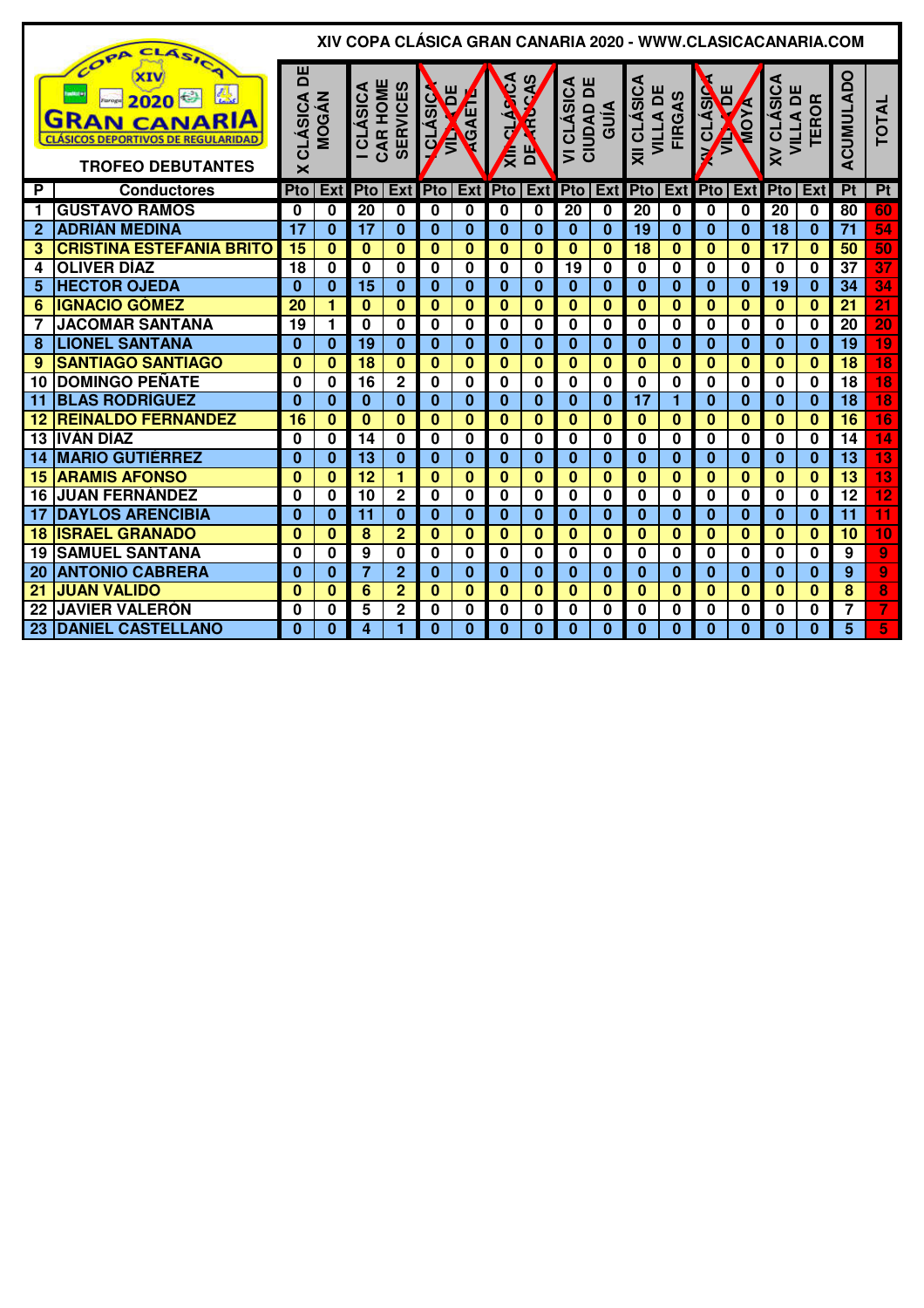|              | OPA CLASICA                                                                                                           |                                                |              | XIV COPA CLÁSICA GRAN CANARIA 2020 - WWW.CLASICACANARIA.COM |                 |                              |              |             |              |                                            |                         |                                |               |                          |              |                               |              |                  |                         |
|--------------|-----------------------------------------------------------------------------------------------------------------------|------------------------------------------------|--------------|-------------------------------------------------------------|-----------------|------------------------------|--------------|-------------|--------------|--------------------------------------------|-------------------------|--------------------------------|---------------|--------------------------|--------------|-------------------------------|--------------|------------------|-------------------------|
|              | 恐<br>2020 €<br>Faroga<br><b>GRAN CANARIA</b><br><b>CLÁSICOS DEPORTIVOS DE REGULARIDAD</b><br><b>TROFEO DEBUTANTES</b> | 片<br><b>CLÁSICA</b><br>$\overline{\mathsf{x}}$ | <b>MOGÁN</b> | CAR HOME<br><b>I CLÁSICA</b>                                | <b>SERVICES</b> | ш<br><b>OLASIC</b><br>Ē<br>Ê | <b>TOAET</b> | CLARCA<br>∤ | ЬΡ           | Ш<br>VI CLÁSICA<br>$\overline{\mathbf{a}}$ | CIUDAD I<br>GUÍA        | XII CLÁSICA<br><b>VILLA DE</b> | <b>FIRGAS</b> | Ĕ<br><b>VCLÁSIC</b><br>Ê | <b>A YOW</b> | <b>XV CLASICA</b><br>VILLA DE | <b>TEROR</b> | <b>ACUMULADO</b> | <b>TOTAL</b>            |
| P            | <b>Conductores</b>                                                                                                    | Pto                                            | Ext          | Pto                                                         | Ext             | <b>Pto</b>                   | Ext          | Pto         | <b>Ext</b>   | <b>Pto</b>                                 | Ext                     | Pto                            | <b>Ext</b>    | Pto                      | Ext          | Pto                           | Ext          | Pt               | Pt                      |
| 1            | <b>GUSTAVO RAMOS</b>                                                                                                  | 0                                              | 0            | 20                                                          | $\mathbf 0$     | 0                            | 0            | 0           | 0            | 20                                         | 0                       | 20                             | 0             | 0                        | 0            | 20                            | 0            | 80               | 60                      |
| $\mathbf{2}$ | <b>ADRIÁN MEDINA</b>                                                                                                  | 17                                             | $\bf{0}$     | 17                                                          | $\bf{0}$        | $\bf{0}$                     | $\bf{0}$     | $\bf{0}$    | $\bf{0}$     | $\bf{0}$                                   | $\bf{0}$                | 19                             | $\bf{0}$      | $\mathbf{0}$             | $\bf{0}$     | 18                            | $\bf{0}$     | $\overline{71}$  | 54                      |
| 3            | <b>CRISTINA ESTEFANIA BRITO</b>                                                                                       | 15                                             | 0            | $\bf{0}$                                                    | $\bf{0}$        | $\bf{0}$                     | $\bf{0}$     | $\bf{0}$    | $\mathbf{0}$ | $\bf{0}$                                   | $\bf{0}$                | 18                             | $\bf{0}$      | $\bf{0}$                 | $\mathbf{0}$ | 17                            | $\bf{0}$     | 50               | 50                      |
| 4            | <b>OLIVER DÍAZ</b>                                                                                                    | 18                                             | 0            | $\bf{0}$                                                    | $\bf{0}$        | 0                            | $\bf{0}$     | 0           | 0            | 19                                         | 0                       | 0                              | 0             | 0                        | 0            | 0                             | 0            | $\overline{37}$  | $\overline{37}$         |
| 5            | <b>HECTOR OJEDA</b>                                                                                                   | $\bf{0}$                                       | $\bf{0}$     | 15                                                          | $\bf{0}$        | $\bf{0}$                     | $\bf{0}$     | $\bf{0}$    | $\mathbf{0}$ | $\mathbf{0}$                               | $\bf{0}$                | $\mathbf{0}$                   | $\bf{0}$      | $\mathbf{0}$             | $\mathbf{0}$ | 19                            | $\bf{0}$     | 34               | 34                      |
| 6            | <b>IGNACIO GÓMEZ</b>                                                                                                  | 20                                             | 1            | $\mathbf{0}$                                                | $\mathbf 0$     | $\bf{0}$                     | $\bf{0}$     | $\bf{0}$    | $\bf{0}$     | $\bf{0}$                                   | $\mathbf{0}$            | $\bf{0}$                       | 0             | $\bf{0}$                 | $\bf{0}$     | $\bf{0}$                      | $\bf{0}$     | 21               | $\overline{21}$         |
|              | <b>JACOMAR SANTANA</b>                                                                                                | 19                                             | 1            | $\bf{0}$                                                    | $\mathbf 0$     | 0                            | 0            | 0           | 0            | $\bf{0}$                                   | 0                       | 0                              | 0             | 0                        | 0            | 0                             | 0            | 20               | $\overline{20}$         |
| 8            | <b>LIONEL SANTANA</b>                                                                                                 | $\bf{0}$                                       | $\bf{0}$     | 19                                                          | $\bf{0}$        | $\bf{0}$                     | $\bf{0}$     | $\bf{0}$    | $\bf{0}$     | $\bf{0}$                                   | $\bf{0}$                | $\bf{0}$                       | $\bf{0}$      | $\bf{0}$                 | $\bf{0}$     | $\bf{0}$                      | $\bf{0}$     | 19               | $\overline{19}$         |
| 9            | <b>SANTIAGO SANTIAGO</b>                                                                                              | $\bf{0}$                                       | $\bf{0}$     | $\overline{18}$                                             | $\bf{0}$        | $\bf{0}$                     | $\bf{0}$     | $\bf{0}$    | $\bf{0}$     | $\bf{0}$                                   | $\overline{\mathbf{0}}$ | 0                              | $\bf{0}$      | $\bf{0}$                 | $\mathbf{0}$ | $\bf{0}$                      | $\bf{0}$     | $\overline{18}$  | $\overline{18}$         |
| 10           | <b>DOMINGO PEÑATE</b>                                                                                                 | 0                                              | 0            | 16                                                          | $\mathbf 2$     | 0                            | $\bf{0}$     | 0           | 0            | $\bf{0}$                                   | 0                       | 0                              | $\bf{0}$      | $\bf{0}$                 | $\bf{0}$     | 0                             | 0            | 18               | $\overline{18}$         |
| 11           | <b>BLAS RODRÍGUEZ</b>                                                                                                 | $\Omega$                                       | $\bf{0}$     | $\bf{0}$                                                    | $\bf{0}$        | $\bf{0}$                     | $\bf{0}$     | $\bf{0}$    | $\bf{0}$     | $\bf{0}$                                   | $\bf{0}$                | 17                             | 1             | $\bf{0}$                 | $\bf{0}$     | $\bf{0}$                      | $\bf{0}$     | 18               | $\overline{18}$         |
| 12           | <b>REINALDO FERNANDEZ</b>                                                                                             | 16                                             | $\bf{0}$     | $\bf{0}$                                                    | $\mathbf{0}$    | $\bf{0}$                     | $\bf{0}$     | $\bf{0}$    | $\mathbf{0}$ | $\bf{0}$                                   | $\bf{0}$                | 0                              | $\bf{0}$      | $\bf{0}$                 | $\bf{0}$     | $\bf{0}$                      | $\bf{0}$     | 16               | 16                      |
| 13           | <b>IVÁN DÍAZ</b>                                                                                                      | 0                                              | 0            | 14                                                          | $\mathbf 0$     | 0                            | 0            | 0           | 0            | $\bf{0}$                                   | $\mathbf 0$             | 0                              | 0             | $\mathbf 0$              | $\bf{0}$     | 0                             | 0            | 14               | $\overline{14}$         |
| 14           | <b>MARIO GUTIÉRREZ</b>                                                                                                | $\Omega$                                       | $\bf{0}$     | 13                                                          | $\bf{0}$        | $\bf{0}$                     | $\bf{0}$     | $\bf{0}$    | $\bf{0}$     | $\bf{0}$                                   | $\bf{0}$                | 0                              | $\bf{0}$      | $\bf{0}$                 | $\bf{0}$     | $\bf{0}$                      | O            | 13               | $\overline{13}$         |
| 15           | <b>ARAMIS AFONSO</b>                                                                                                  | $\bf{0}$                                       | $\bf{0}$     | 12                                                          | 1               | $\bf{0}$                     | $\bf{0}$     | $\bf{0}$    | $\bf{0}$     | $\bf{0}$                                   | $\bf{0}$                | 0                              | $\Omega$      | 0                        | $\Omega$     | $\bf{0}$                      | $\Omega$     | 13               | $\overline{13}$         |
| 16           | <b>JUAN FERNÁNDEZ</b>                                                                                                 | 0                                              | 0            | 10                                                          | $\mathbf 2$     | 0                            | 0            | 0           | 0            | $\bf{0}$                                   | $\mathbf 0$             | 0                              | $\mathbf 0$   | $\bf{0}$                 | $\bf{0}$     | 0                             | 0            | 12               | $\overline{12}$         |
| 17           | <b>DAYLOS ARENCIBIA</b>                                                                                               | $\bf{0}$                                       | $\bf{0}$     | 11                                                          | $\bf{0}$        | $\bf{0}$                     | $\bf{0}$     | $\bf{0}$    | $\mathbf{0}$ | $\mathbf{0}$                               | $\bf{0}$                | $\bf{0}$                       | $\bf{0}$      | $\bf{0}$                 | $\bf{0}$     | $\mathbf{0}$                  | $\bf{0}$     | 11               | $\overline{11}$         |
| 18           | <b>ISRAEL GRANADO</b>                                                                                                 | 0                                              | $\bf{0}$     | 8                                                           | $\overline{2}$  | $\bf{0}$                     | $\bf{0}$     | $\bf{0}$    | $\bf{0}$     | $\bf{0}$                                   | $\bf{0}$                | 0                              | 0             | $\bf{0}$                 | $\bf{0}$     | $\bf{0}$                      | $\bf{0}$     | 10               | 10                      |
| 19           | <b>SAMUEL SANTANA</b>                                                                                                 | 0                                              | 0            | 9                                                           | $\mathbf 0$     | 0                            | 0            | 0           | 0            | $\bf{0}$                                   | $\mathbf 0$             | 0                              | 0             | $\mathbf 0$              | $\mathbf 0$  | $\mathbf 0$                   | 0            | 9                | $\overline{9}$          |
| 20           | <b>ANTONIO CABRERA</b>                                                                                                | $\Omega$                                       | $\bf{0}$     | $\overline{7}$                                              | $\overline{2}$  | $\Omega$                     | $\bf{0}$     | $\bf{0}$    | $\bf{0}$     | $\bf{0}$                                   | $\bf{0}$                | $\bf{0}$                       | $\bf{0}$      | $\mathbf{0}$             | $\bf{0}$     | $\mathbf{0}$                  | $\bf{0}$     | 9                | 9                       |
| 21           | <b>JUAN VALIDO</b>                                                                                                    | $\Omega$                                       | $\bf{0}$     | 6                                                           | $\overline{2}$  | $\bf{0}$                     | $\bf{0}$     | $\bf{0}$    | $\bf{0}$     | $\bf{0}$                                   | $\bf{0}$                | 0                              | $\Omega$      | $\Omega$                 | $\Omega$     | $\bf{0}$                      | $\Omega$     | 8                | $\overline{\mathbf{8}}$ |
| 22           | <b>JAVIER VALERÓN</b>                                                                                                 | 0                                              | 0            | 5                                                           | $\overline{2}$  | 0                            | 0            | 0           | 0            | 0                                          | $\mathbf 0$             | 0                              | 0             | 0                        | $\bf{0}$     | 0                             | 0            | $\overline{7}$   | $\overline{\mathbf{7}}$ |
| 23           | <b>DANIEL CASTELLANO</b>                                                                                              | $\bf{0}$                                       | $\bf{0}$     | 4                                                           | 1               | $\bf{0}$                     | $\bf{0}$     | $\bf{0}$    | $\bf{0}$     | $\bf{0}$                                   | $\bf{0}$                | $\bf{0}$                       | $\bf{0}$      | $\bf{0}$                 | $\bf{0}$     | $\mathbf{0}$                  | $\bf{0}$     | $\overline{5}$   | 5                       |